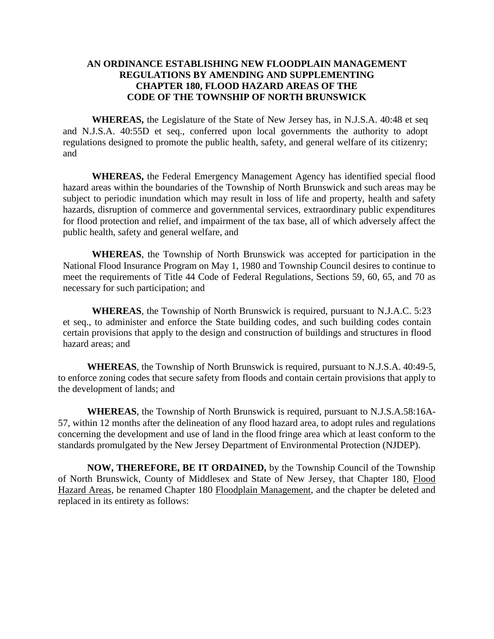#### **AN ORDINANCE ESTABLISHING NEW FLOODPLAIN MANAGEMENT REGULATIONS BY AMENDING AND SUPPLEMENTING CHAPTER 180, FLOOD HAZARD AREAS OF THE CODE OF THE TOWNSHIP OF NORTH BRUNSWICK**

**WHEREAS,** the Legislature of the State of New Jersey has, in N.J.S.A. 40:48 et seq and N.J.S.A. 40:55D et seq., conferred upon local governments the authority to adopt regulations designed to promote the public health, safety, and general welfare of its citizenry; and

**WHEREAS,** the Federal Emergency Management Agency has identified special flood hazard areas within the boundaries of the Township of North Brunswick and such areas may be subject to periodic inundation which may result in loss of life and property, health and safety hazards, disruption of commerce and governmental services, extraordinary public expenditures for flood protection and relief, and impairment of the tax base, all of which adversely affect the public health, safety and general welfare, and

**WHEREAS**, the Township of North Brunswick was accepted for participation in the National Flood Insurance Program on May 1, 1980 and Township Council desires to continue to meet the requirements of Title 44 Code of Federal Regulations, Sections 59, 60, 65, and 70 as necessary for such participation; and

**WHEREAS**, the Township of North Brunswick is required, pursuant to N.J.A.C. 5:23 et seq., to administer and enforce the State building codes, and such building codes contain certain provisions that apply to the design and construction of buildings and structures in flood hazard areas; and

**WHEREAS**, the Township of North Brunswick is required, pursuant to N.J.S.A. 40:49-5, to enforce zoning codes that secure safety from floods and contain certain provisions that apply to the development of lands; and

**WHEREAS**, the Township of North Brunswick is required, pursuant to N.J.S.A.58:16A-57, within 12 months after the delineation of any flood hazard area, to adopt rules and regulations concerning the development and use of land in the flood fringe area which at least conform to the standards promulgated by the New Jersey Department of Environmental Protection (NJDEP).

**NOW, THEREFORE, BE IT ORDAINED,** by the Township Council of the Township of North Brunswick, County of Middlesex and State of New Jersey, that Chapter 180, Flood Hazard Areas, be renamed Chapter 180 Floodplain Management, and the chapter be deleted and replaced in its entirety as follows: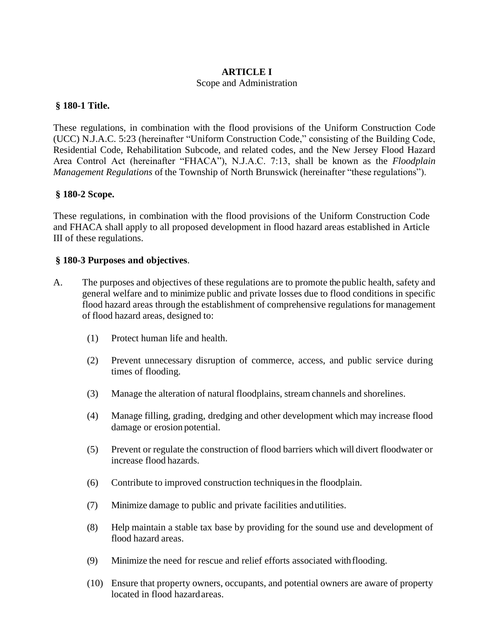### **ARTICLE I** Scope and Administration

#### **§ 180-1 Title.**

These regulations, in combination with the flood provisions of the Uniform Construction Code (UCC) N.J.A.C. 5:23 (hereinafter "Uniform Construction Code," consisting of the Building Code, Residential Code, Rehabilitation Subcode, and related codes, and the New Jersey Flood Hazard Area Control Act (hereinafter "FHACA"), N.J.A.C. 7:13, shall be known as the *Floodplain Management Regulations* of the Township of North Brunswick (hereinafter "these regulations").

#### **§ 180-2 Scope.**

These regulations, in combination with the flood provisions of the Uniform Construction Code and FHACA shall apply to all proposed development in flood hazard areas established in Article III of these regulations.

#### **§ 180-3 Purposes and objectives**.

- A. The purposes and objectives of these regulations are to promote the public health, safety and general welfare and to minimize public and private losses due to flood conditions in specific flood hazard areas through the establishment of comprehensive regulations for management of flood hazard areas, designed to:
	- (1) Protect human life and health.
	- (2) Prevent unnecessary disruption of commerce, access, and public service during times of flooding.
	- (3) Manage the alteration of natural floodplains, stream channels and shorelines.
	- (4) Manage filling, grading, dredging and other development which may increase flood damage or erosion potential.
	- (5) Prevent or regulate the construction of flood barriers which will divert floodwater or increase flood hazards.
	- (6) Contribute to improved construction techniquesin the floodplain.
	- (7) Minimize damage to public and private facilities andutilities.
	- (8) Help maintain a stable tax base by providing for the sound use and development of flood hazard areas.
	- (9) Minimize the need for rescue and relief efforts associated withflooding.
	- (10) Ensure that property owners, occupants, and potential owners are aware of property located in flood hazardareas.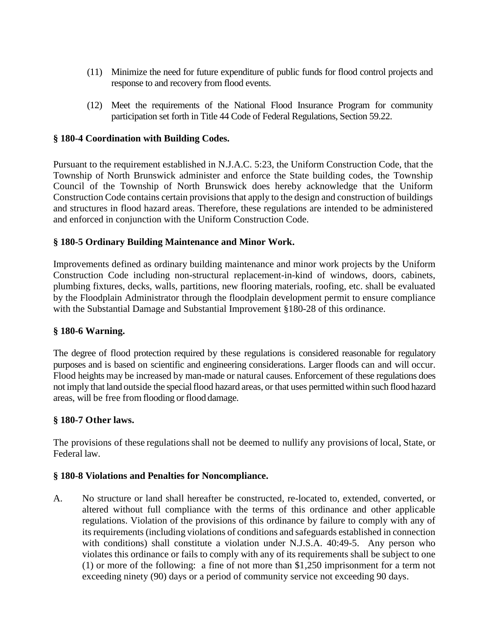- (11) Minimize the need for future expenditure of public funds for flood control projects and response to and recovery from flood events.
- (12) Meet the requirements of the National Flood Insurance Program for community participation set forth in Title 44 Code of Federal Regulations, Section 59.22.

#### **§ 180-4 Coordination with Building Codes.**

Pursuant to the requirement established in N.J.A.C. 5:23, the Uniform Construction Code, that the Township of North Brunswick administer and enforce the State building codes, the Township Council of the Township of North Brunswick does hereby acknowledge that the Uniform Construction Code contains certain provisions that apply to the design and construction of buildings and structures in flood hazard areas. Therefore, these regulations are intended to be administered and enforced in conjunction with the Uniform Construction Code.

#### **§ 180-5 Ordinary Building Maintenance and Minor Work.**

Improvements defined as ordinary building maintenance and minor work projects by the Uniform Construction Code including non-structural replacement-in-kind of windows, doors, cabinets, plumbing fixtures, decks, walls, partitions, new flooring materials, roofing, etc. shall be evaluated by the Floodplain Administrator through the floodplain development permit to ensure compliance with the Substantial Damage and Substantial Improvement §180-28 of this ordinance.

#### **§ 180-6 Warning.**

The degree of flood protection required by these regulations is considered reasonable for regulatory purposes and is based on scientific and engineering considerations. Larger floods can and will occur. Flood heights may be increased by man-made or natural causes. Enforcement of these regulations does not imply that land outside the special flood hazard areas, or that uses permitted within such flood hazard areas, will be free from flooding or flood damage.

#### **§ 180-7 Other laws.**

The provisions of these regulationsshall not be deemed to nullify any provisions of local, State, or Federal law.

#### **§ 180-8 Violations and Penalties for Noncompliance.**

A. No structure or land shall hereafter be constructed, re-located to, extended, converted, or altered without full compliance with the terms of this ordinance and other applicable regulations. Violation of the provisions of this ordinance by failure to comply with any of its requirements (including violations of conditions and safeguards established in connection with conditions) shall constitute a violation under N.J.S.A. 40:49-5. Any person who violates this ordinance or fails to comply with any of its requirements shall be subject to one (1) or more of the following: a fine of not more than \$1,250 imprisonment for a term not exceeding ninety (90) days or a period of community service not exceeding 90 days.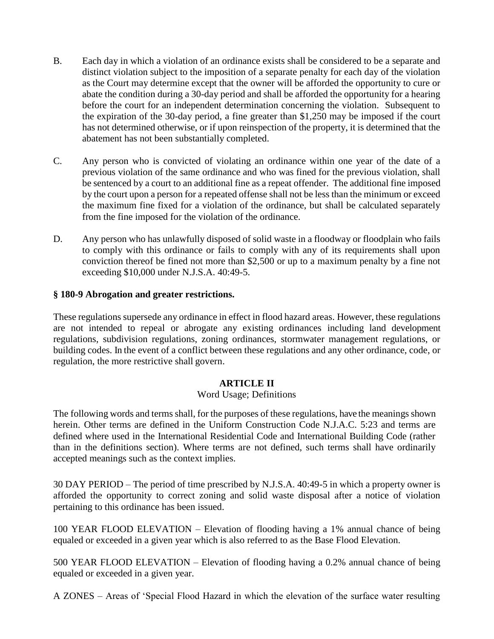- B. Each day in which a violation of an ordinance exists shall be considered to be a separate and distinct violation subject to the imposition of a separate penalty for each day of the violation as the Court may determine except that the owner will be afforded the opportunity to cure or abate the condition during a 30-day period and shall be afforded the opportunity for a hearing before the court for an independent determination concerning the violation. Subsequent to the expiration of the 30-day period, a fine greater than \$1,250 may be imposed if the court has not determined otherwise, or if upon reinspection of the property, it is determined that the abatement has not been substantially completed.
- C. Any person who is convicted of violating an ordinance within one year of the date of a previous violation of the same ordinance and who was fined for the previous violation, shall be sentenced by a court to an additional fine as a repeat offender. The additional fine imposed by the court upon a person for a repeated offense shall not be less than the minimum or exceed the maximum fine fixed for a violation of the ordinance, but shall be calculated separately from the fine imposed for the violation of the ordinance.
- D. Any person who has unlawfully disposed of solid waste in a floodway or floodplain who fails to comply with this ordinance or fails to comply with any of its requirements shall upon conviction thereof be fined not more than \$2,500 or up to a maximum penalty by a fine not exceeding \$10,000 under N.J.S.A. 40:49-5.

### **§ 180-9 Abrogation and greater restrictions.**

These regulations supersede any ordinance in effect in flood hazard areas. However, these regulations are not intended to repeal or abrogate any existing ordinances including land development regulations, subdivision regulations, zoning ordinances, stormwater management regulations, or building codes. In the event of a conflict between these regulations and any other ordinance, code, or regulation, the more restrictive shall govern.

### **ARTICLE II**

#### Word Usage; Definitions

The following words and terms shall, for the purposes of these regulations, have the meanings shown herein. Other terms are defined in the Uniform Construction Code N.J.A.C. 5:23 and terms are defined where used in the International Residential Code and International Building Code (rather than in the definitions section). Where terms are not defined, such terms shall have ordinarily accepted meanings such as the context implies.

30 DAY PERIOD – The period of time prescribed by N.J.S.A. 40:49-5 in which a property owner is afforded the opportunity to correct zoning and solid waste disposal after a notice of violation pertaining to this ordinance has been issued.

100 YEAR FLOOD ELEVATION – Elevation of flooding having a 1% annual chance of being equaled or exceeded in a given year which is also referred to as the Base Flood Elevation.

500 YEAR FLOOD ELEVATION – Elevation of flooding having a 0.2% annual chance of being equaled or exceeded in a given year.

A ZONES – Areas of 'Special Flood Hazard in which the elevation of the surface water resulting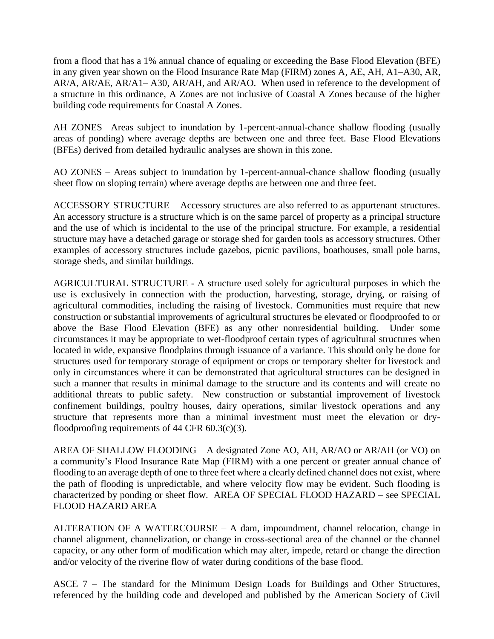from a flood that has a 1% annual chance of equaling or exceeding the Base Flood Elevation (BFE) in any given year shown on the Flood Insurance Rate Map (FIRM) zones A, AE, AH, A1–A30, AR, AR/A, AR/AE, AR/A1– A30, AR/AH, and AR/AO. When used in reference to the development of a structure in this ordinance, A Zones are not inclusive of Coastal A Zones because of the higher building code requirements for Coastal A Zones.

AH ZONES– Areas subject to inundation by 1-percent-annual-chance shallow flooding (usually areas of ponding) where average depths are between one and three feet. Base Flood Elevations (BFEs) derived from detailed hydraulic analyses are shown in this zone.

AO ZONES – Areas subject to inundation by 1-percent-annual-chance shallow flooding (usually sheet flow on sloping terrain) where average depths are between one and three feet.

ACCESSORY STRUCTURE – Accessory structures are also referred to as appurtenant structures. An accessory structure is a structure which is on the same parcel of property as a principal structure and the use of which is incidental to the use of the principal structure. For example, a residential structure may have a detached garage or storage shed for garden tools as accessory structures. Other examples of accessory structures include gazebos, picnic pavilions, boathouses, small pole barns, storage sheds, and similar buildings.

AGRICULTURAL STRUCTURE - A structure used solely for agricultural purposes in which the use is exclusively in connection with the production, harvesting, storage, drying, or raising of agricultural commodities, including the raising of livestock. Communities must require that new construction or substantial improvements of agricultural structures be elevated or floodproofed to or above the Base Flood Elevation (BFE) as any other nonresidential building. Under some circumstances it may be appropriate to wet-floodproof certain types of agricultural structures when located in wide, expansive floodplains through issuance of a variance. This should only be done for structures used for temporary storage of equipment or crops or temporary shelter for livestock and only in circumstances where it can be demonstrated that agricultural structures can be designed in such a manner that results in minimal damage to the structure and its contents and will create no additional threats to public safety. New construction or substantial improvement of livestock confinement buildings, poultry houses, dairy operations, similar livestock operations and any structure that represents more than a minimal investment must meet the elevation or dryfloodproofing requirements of 44 CFR  $60.3(c)(3)$ .

AREA OF SHALLOW FLOODING – A designated Zone AO, AH, AR/AO or AR/AH (or VO) on a community's Flood Insurance Rate Map (FIRM) with a one percent or greater annual chance of flooding to an average depth of one to three feet where a clearly defined channel does not exist, where the path of flooding is unpredictable, and where velocity flow may be evident. Such flooding is characterized by ponding or sheet flow. AREA OF SPECIAL FLOOD HAZARD – see SPECIAL FLOOD HAZARD AREA

ALTERATION OF A WATERCOURSE – A dam, impoundment, channel relocation, change in channel alignment, channelization, or change in cross-sectional area of the channel or the channel capacity, or any other form of modification which may alter, impede, retard or change the direction and/or velocity of the riverine flow of water during conditions of the base flood.

ASCE 7 – The standard for the Minimum Design Loads for Buildings and Other Structures, referenced by the building code and developed and published by the American Society of Civil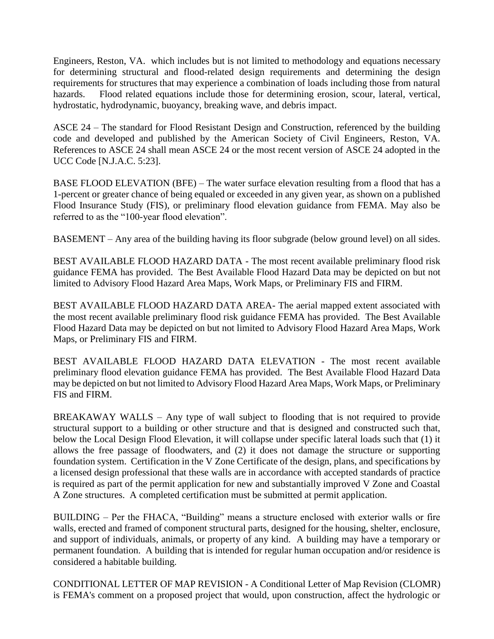Engineers, Reston, VA. which includes but is not limited to methodology and equations necessary for determining structural and flood-related design requirements and determining the design requirements for structures that may experience a combination of loads including those from natural hazards. Flood related equations include those for determining erosion, scour, lateral, vertical, hydrostatic, hydrodynamic, buoyancy, breaking wave, and debris impact.

ASCE 24 – The standard for Flood Resistant Design and Construction, referenced by the building code and developed and published by the American Society of Civil Engineers, Reston, VA. References to ASCE 24 shall mean ASCE 24 or the most recent version of ASCE 24 adopted in the UCC Code [N.J.A.C. 5:23].

BASE FLOOD ELEVATION (BFE) – The water surface elevation resulting from a flood that has a 1-percent or greater chance of being equaled or exceeded in any given year, as shown on a published Flood Insurance Study (FIS), or preliminary flood elevation guidance from FEMA. May also be referred to as the "100-year flood elevation".

BASEMENT – Any area of the building having its floor subgrade (below ground level) on all sides.

BEST AVAILABLE FLOOD HAZARD DATA - The most recent available preliminary flood risk guidance FEMA has provided. The Best Available Flood Hazard Data may be depicted on but not limited to Advisory Flood Hazard Area Maps, Work Maps, or Preliminary FIS and FIRM.

BEST AVAILABLE FLOOD HAZARD DATA AREA- The aerial mapped extent associated with the most recent available preliminary flood risk guidance FEMA has provided. The Best Available Flood Hazard Data may be depicted on but not limited to Advisory Flood Hazard Area Maps, Work Maps, or Preliminary FIS and FIRM.

BEST AVAILABLE FLOOD HAZARD DATA ELEVATION - The most recent available preliminary flood elevation guidance FEMA has provided. The Best Available Flood Hazard Data may be depicted on but not limited to Advisory Flood Hazard Area Maps, Work Maps, or Preliminary FIS and FIRM.

BREAKAWAY WALLS – Any type of wall subject to flooding that is not required to provide structural support to a building or other structure and that is designed and constructed such that, below the Local Design Flood Elevation, it will collapse under specific lateral loads such that (1) it allows the free passage of floodwaters, and (2) it does not damage the structure or supporting foundation system. Certification in the V Zone Certificate of the design, plans, and specifications by a licensed design professional that these walls are in accordance with accepted standards of practice is required as part of the permit application for new and substantially improved V Zone and Coastal A Zone structures. A completed certification must be submitted at permit application.

BUILDING – Per the FHACA, "Building" means a structure enclosed with exterior walls or fire walls, erected and framed of component structural parts, designed for the housing, shelter, enclosure, and support of individuals, animals, or property of any kind. A building may have a temporary or permanent foundation. A building that is intended for regular human occupation and/or residence is considered a habitable building.

CONDITIONAL LETTER OF MAP REVISION - A Conditional Letter of Map Revision (CLOMR) is FEMA's comment on a proposed project that would, upon construction, affect the hydrologic or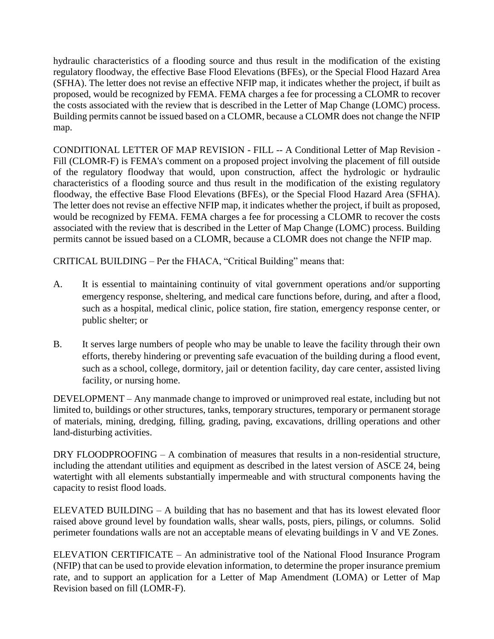hydraulic characteristics of a flooding source and thus result in the modification of the existing regulatory floodway, the effective Base Flood Elevations (BFEs), or the Special Flood Hazard Area (SFHA). The letter does not revise an effective NFIP map, it indicates whether the project, if built as proposed, would be recognized by FEMA. FEMA charges a fee for processing a CLOMR to recover the costs associated with the review that is described in the Letter of Map Change (LOMC) process. Building permits cannot be issued based on a CLOMR, because a CLOMR does not change the NFIP map.

CONDITIONAL LETTER OF MAP REVISION - FILL -- A Conditional Letter of Map Revision - Fill (CLOMR-F) is FEMA's comment on a proposed project involving the placement of fill outside of the regulatory floodway that would, upon construction, affect the hydrologic or hydraulic characteristics of a flooding source and thus result in the modification of the existing regulatory floodway, the effective Base Flood Elevations (BFEs), or the Special Flood Hazard Area (SFHA). The letter does not revise an effective NFIP map, it indicates whether the project, if built as proposed, would be recognized by FEMA. FEMA charges a fee for processing a CLOMR to recover the costs associated with the review that is described in the Letter of Map Change (LOMC) process. Building permits cannot be issued based on a CLOMR, because a CLOMR does not change the NFIP map.

CRITICAL BUILDING – Per the FHACA, "Critical Building" means that:

- A. It is essential to maintaining continuity of vital government operations and/or supporting emergency response, sheltering, and medical care functions before, during, and after a flood, such as a hospital, medical clinic, police station, fire station, emergency response center, or public shelter; or
- B. It serves large numbers of people who may be unable to leave the facility through their own efforts, thereby hindering or preventing safe evacuation of the building during a flood event, such as a school, college, dormitory, jail or detention facility, day care center, assisted living facility, or nursing home.

DEVELOPMENT – Any manmade change to improved or unimproved real estate, including but not limited to, buildings or other structures, tanks, temporary structures, temporary or permanent storage of materials, mining, dredging, filling, grading, paving, excavations, drilling operations and other land-disturbing activities.

DRY FLOODPROOFING – A combination of measures that results in a non-residential structure, including the attendant utilities and equipment as described in the latest version of ASCE 24, being watertight with all elements substantially impermeable and with structural components having the capacity to resist flood loads.

ELEVATED BUILDING – A building that has no basement and that has its lowest elevated floor raised above ground level by foundation walls, shear walls, posts, piers, pilings, or columns. Solid perimeter foundations walls are not an acceptable means of elevating buildings in V and VE Zones.

ELEVATION CERTIFICATE – An administrative tool of the National Flood Insurance Program (NFIP) that can be used to provide elevation information, to determine the proper insurance premium rate, and to support an application for a Letter of Map Amendment (LOMA) or Letter of Map Revision based on fill (LOMR-F).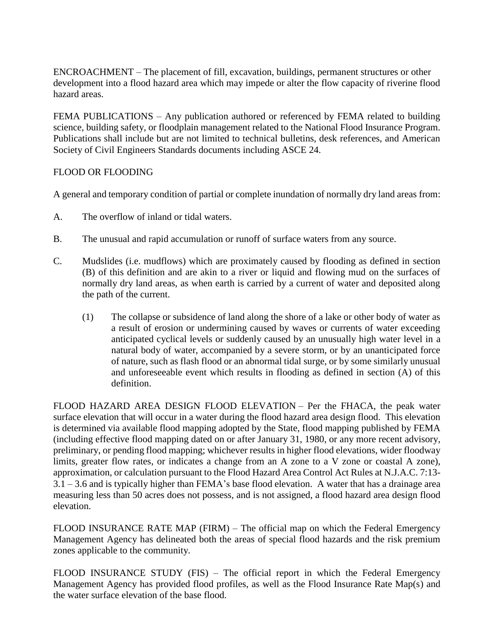ENCROACHMENT – The placement of fill, excavation, buildings, permanent structures or other development into a flood hazard area which may impede or alter the flow capacity of riverine flood hazard areas.

FEMA PUBLICATIONS – Any publication authored or referenced by FEMA related to building science, building safety, or floodplain management related to the National Flood Insurance Program. Publications shall include but are not limited to technical bulletins, desk references, and American Society of Civil Engineers Standards documents including ASCE 24.

### FLOOD OR FLOODING

A general and temporary condition of partial or complete inundation of normally dry land areas from:

- A. The overflow of inland or tidal waters.
- B. The unusual and rapid accumulation or runoff of surface waters from any source.
- C. Mudslides (i.e. mudflows) which are proximately caused by flooding as defined in section (B) of this definition and are akin to a river or liquid and flowing mud on the surfaces of normally dry land areas, as when earth is carried by a current of water and deposited along the path of the current.
	- (1) The collapse or subsidence of land along the shore of a lake or other body of water as a result of erosion or undermining caused by waves or currents of water exceeding anticipated cyclical levels or suddenly caused by an unusually high water level in a natural body of water, accompanied by a severe storm, or by an unanticipated force of nature, such as flash flood or an abnormal tidal surge, or by some similarly unusual and unforeseeable event which results in flooding as defined in section (A) of this definition.

FLOOD HAZARD AREA DESIGN FLOOD ELEVATION – Per the FHACA, the peak water surface elevation that will occur in a water during the flood hazard area design flood. This elevation is determined via available flood mapping adopted by the State, flood mapping published by FEMA (including effective flood mapping dated on or after January 31, 1980, or any more recent advisory, preliminary, or pending flood mapping; whichever results in higher flood elevations, wider floodway limits, greater flow rates, or indicates a change from an A zone to a V zone or coastal A zone), approximation, or calculation pursuant to the Flood Hazard Area Control Act Rules at N.J.A.C. 7:13- 3.1 – 3.6 and is typically higher than FEMA's base flood elevation. A water that has a drainage area measuring less than 50 acres does not possess, and is not assigned, a flood hazard area design flood elevation.

FLOOD INSURANCE RATE MAP (FIRM) – The official map on which the Federal Emergency Management Agency has delineated both the areas of special flood hazards and the risk premium zones applicable to the community.

FLOOD INSURANCE STUDY (FIS) – The official report in which the Federal Emergency Management Agency has provided flood profiles, as well as the Flood Insurance Rate Map(s) and the water surface elevation of the base flood.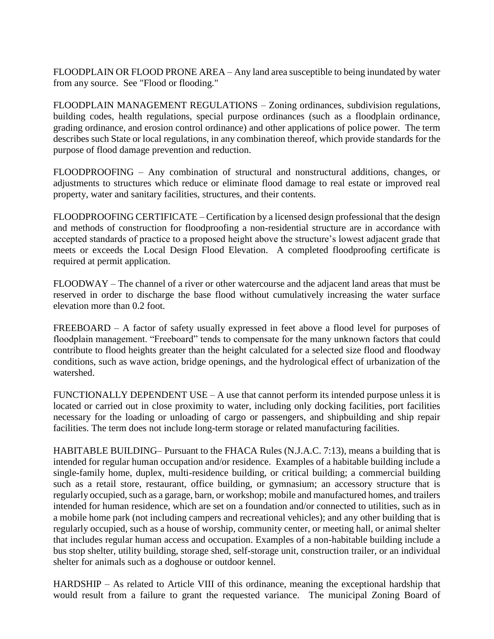FLOODPLAIN OR FLOOD PRONE AREA – Any land area susceptible to being inundated by water from any source. See "Flood or flooding."

FLOODPLAIN MANAGEMENT REGULATIONS – Zoning ordinances, subdivision regulations, building codes, health regulations, special purpose ordinances (such as a floodplain ordinance, grading ordinance, and erosion control ordinance) and other applications of police power. The term describes such State or local regulations, in any combination thereof, which provide standards for the purpose of flood damage prevention and reduction.

FLOODPROOFING – Any combination of structural and nonstructural additions, changes, or adjustments to structures which reduce or eliminate flood damage to real estate or improved real property, water and sanitary facilities, structures, and their contents.

FLOODPROOFING CERTIFICATE – Certification by a licensed design professional that the design and methods of construction for floodproofing a non-residential structure are in accordance with accepted standards of practice to a proposed height above the structure's lowest adjacent grade that meets or exceeds the Local Design Flood Elevation. A completed floodproofing certificate is required at permit application.

FLOODWAY – The channel of a river or other watercourse and the adjacent land areas that must be reserved in order to discharge the base flood without cumulatively increasing the water surface elevation more than 0.2 foot.

FREEBOARD – A factor of safety usually expressed in feet above a flood level for purposes of floodplain management. "Freeboard" tends to compensate for the many unknown factors that could contribute to flood heights greater than the height calculated for a selected size flood and floodway conditions, such as wave action, bridge openings, and the hydrological effect of urbanization of the watershed.

FUNCTIONALLY DEPENDENT USE – A use that cannot perform its intended purpose unless it is located or carried out in close proximity to water, including only docking facilities, port facilities necessary for the loading or unloading of cargo or passengers, and shipbuilding and ship repair facilities. The term does not include long-term storage or related manufacturing facilities.

HABITABLE BUILDING– Pursuant to the FHACA Rules (N.J.A.C. 7:13), means a building that is intended for regular human occupation and/or residence. Examples of a habitable building include a single-family home, duplex, multi-residence building, or critical building; a commercial building such as a retail store, restaurant, office building, or gymnasium; an accessory structure that is regularly occupied, such as a garage, barn, or workshop; mobile and manufactured homes, and trailers intended for human residence, which are set on a foundation and/or connected to utilities, such as in a mobile home park (not including campers and recreational vehicles); and any other building that is regularly occupied, such as a house of worship, community center, or meeting hall, or animal shelter that includes regular human access and occupation. Examples of a non-habitable building include a bus stop shelter, utility building, storage shed, self-storage unit, construction trailer, or an individual shelter for animals such as a doghouse or outdoor kennel.

HARDSHIP – As related to Article VIII of this ordinance, meaning the exceptional hardship that would result from a failure to grant the requested variance. The municipal Zoning Board of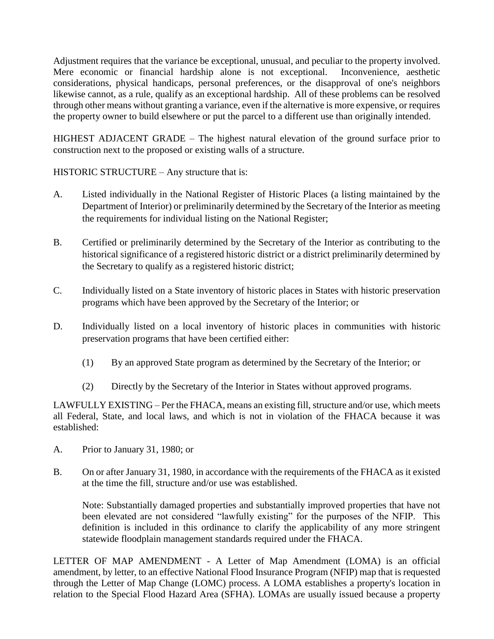Adjustment requires that the variance be exceptional, unusual, and peculiar to the property involved. Mere economic or financial hardship alone is not exceptional. Inconvenience, aesthetic considerations, physical handicaps, personal preferences, or the disapproval of one's neighbors likewise cannot, as a rule, qualify as an exceptional hardship. All of these problems can be resolved through other means without granting a variance, even if the alternative is more expensive, or requires the property owner to build elsewhere or put the parcel to a different use than originally intended.

HIGHEST ADJACENT GRADE – The highest natural elevation of the ground surface prior to construction next to the proposed or existing walls of a structure.

HISTORIC STRUCTURE – Any structure that is:

- A. Listed individually in the National Register of Historic Places (a listing maintained by the Department of Interior) or preliminarily determined by the Secretary of the Interior as meeting the requirements for individual listing on the National Register;
- B. Certified or preliminarily determined by the Secretary of the Interior as contributing to the historical significance of a registered historic district or a district preliminarily determined by the Secretary to qualify as a registered historic district;
- C. Individually listed on a State inventory of historic places in States with historic preservation programs which have been approved by the Secretary of the Interior; or
- D. Individually listed on a local inventory of historic places in communities with historic preservation programs that have been certified either:
	- (1) By an approved State program as determined by the Secretary of the Interior; or
	- (2) Directly by the Secretary of the Interior in States without approved programs.

LAWFULLY EXISTING – Per the FHACA, means an existing fill, structure and/or use, which meets all Federal, State, and local laws, and which is not in violation of the FHACA because it was established:

- A. Prior to January 31, 1980; or
- B. On or after January 31, 1980, in accordance with the requirements of the FHACA as it existed at the time the fill, structure and/or use was established.

Note: Substantially damaged properties and substantially improved properties that have not been elevated are not considered "lawfully existing" for the purposes of the NFIP. This definition is included in this ordinance to clarify the applicability of any more stringent statewide floodplain management standards required under the FHACA.

LETTER OF MAP AMENDMENT - A Letter of Map Amendment (LOMA) is an official amendment, by letter, to an effective National Flood Insurance Program (NFIP) map that is requested through the Letter of Map Change (LOMC) process. A LOMA establishes a property's location in relation to the Special Flood Hazard Area (SFHA). LOMAs are usually issued because a property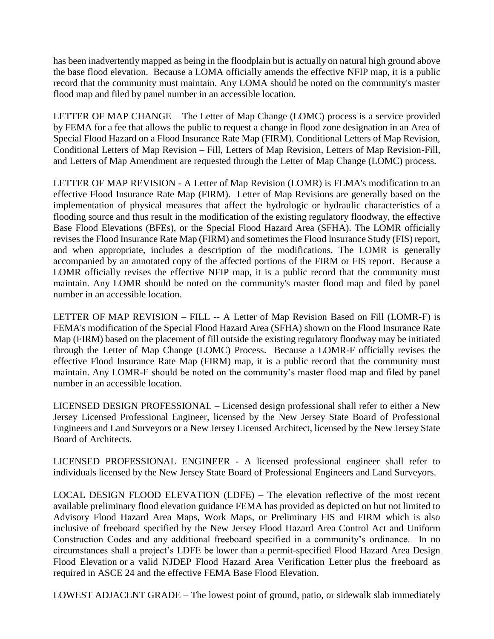has been inadvertently mapped as being in the floodplain but is actually on natural high ground above the base flood elevation. Because a LOMA officially amends the effective NFIP map, it is a public record that the community must maintain. Any LOMA should be noted on the community's master flood map and filed by panel number in an accessible location.

LETTER OF MAP CHANGE – The Letter of Map Change (LOMC) process is a service provided by FEMA for a fee that allows the public to request a change in flood zone designation in an Area of Special Flood Hazard on a Flood Insurance Rate Map (FIRM). Conditional Letters of Map Revision, Conditional Letters of Map Revision – Fill, Letters of Map Revision, Letters of Map Revision-Fill, and Letters of Map Amendment are requested through the Letter of Map Change (LOMC) process.

LETTER OF MAP REVISION - A Letter of Map Revision (LOMR) is FEMA's modification to an effective Flood Insurance Rate Map (FIRM). Letter of Map Revisions are generally based on the implementation of physical measures that affect the hydrologic or hydraulic characteristics of a flooding source and thus result in the modification of the existing regulatory floodway, the effective Base Flood Elevations (BFEs), or the Special Flood Hazard Area (SFHA). The LOMR officially revises the Flood Insurance Rate Map (FIRM) and sometimes the Flood Insurance Study (FIS) report, and when appropriate, includes a description of the modifications. The LOMR is generally accompanied by an annotated copy of the affected portions of the FIRM or FIS report. Because a LOMR officially revises the effective NFIP map, it is a public record that the community must maintain. Any LOMR should be noted on the community's master flood map and filed by panel number in an accessible location.

LETTER OF MAP REVISION – FILL -- A Letter of Map Revision Based on Fill (LOMR-F) is FEMA's modification of the Special Flood Hazard Area (SFHA) shown on the Flood Insurance Rate Map (FIRM) based on the placement of fill outside the existing regulatory floodway may be initiated through the Letter of Map Change (LOMC) Process. Because a LOMR-F officially revises the effective Flood Insurance Rate Map (FIRM) map, it is a public record that the community must maintain. Any LOMR-F should be noted on the community's master flood map and filed by panel number in an accessible location.

LICENSED DESIGN PROFESSIONAL – Licensed design professional shall refer to either a New Jersey Licensed Professional Engineer, licensed by the New Jersey State Board of Professional Engineers and Land Surveyors or a New Jersey Licensed Architect, licensed by the New Jersey State Board of Architects.

LICENSED PROFESSIONAL ENGINEER - A licensed professional engineer shall refer to individuals licensed by the New Jersey State Board of Professional Engineers and Land Surveyors.

LOCAL DESIGN FLOOD ELEVATION (LDFE) – The elevation reflective of the most recent available preliminary flood elevation guidance FEMA has provided as depicted on but not limited to Advisory Flood Hazard Area Maps, Work Maps, or Preliminary FIS and FIRM which is also inclusive of freeboard specified by the New Jersey Flood Hazard Area Control Act and Uniform Construction Codes and any additional freeboard specified in a community's ordinance. In no circumstances shall a project's LDFE be lower than a permit-specified Flood Hazard Area Design Flood Elevation or a valid NJDEP Flood Hazard Area Verification Letter plus the freeboard as required in ASCE 24 and the effective FEMA Base Flood Elevation.

LOWEST ADJACENT GRADE – The lowest point of ground, patio, or sidewalk slab immediately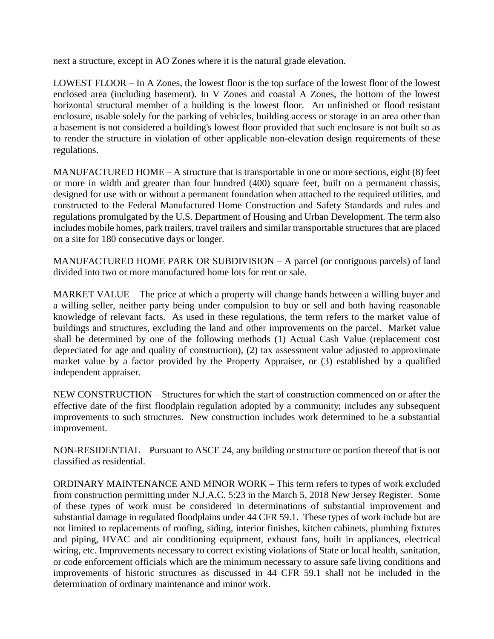next a structure, except in AO Zones where it is the natural grade elevation.

LOWEST FLOOR – In A Zones, the lowest floor is the top surface of the lowest floor of the lowest enclosed area (including basement). In V Zones and coastal A Zones, the bottom of the lowest horizontal structural member of a building is the lowest floor. An unfinished or flood resistant enclosure, usable solely for the parking of vehicles, building access or storage in an area other than a basement is not considered a building's lowest floor provided that such enclosure is not built so as to render the structure in violation of other applicable non-elevation design requirements of these regulations.

MANUFACTURED HOME – A structure that is transportable in one or more sections, eight (8) feet or more in width and greater than four hundred (400) square feet, built on a permanent chassis, designed for use with or without a permanent foundation when attached to the required utilities, and constructed to the Federal Manufactured Home Construction and Safety Standards and rules and regulations promulgated by the U.S. Department of Housing and Urban Development. The term also includes mobile homes, park trailers, travel trailers and similar transportable structures that are placed on a site for 180 consecutive days or longer.

MANUFACTURED HOME PARK OR SUBDIVISION – A parcel (or contiguous parcels) of land divided into two or more manufactured home lots for rent or sale.

MARKET VALUE – The price at which a property will change hands between a willing buyer and a willing seller, neither party being under compulsion to buy or sell and both having reasonable knowledge of relevant facts. As used in these regulations, the term refers to the market value of buildings and structures, excluding the land and other improvements on the parcel. Market value shall be determined by one of the following methods (1) Actual Cash Value (replacement cost depreciated for age and quality of construction), (2) tax assessment value adjusted to approximate market value by a factor provided by the Property Appraiser, or (3) established by a qualified independent appraiser.

NEW CONSTRUCTION – Structures for which the start of construction commenced on or after the effective date of the first floodplain regulation adopted by a community; includes any subsequent improvements to such structures. New construction includes work determined to be a substantial improvement.

NON-RESIDENTIAL – Pursuant to ASCE 24, any building or structure or portion thereof that is not classified as residential.

ORDINARY MAINTENANCE AND MINOR WORK – This term refers to types of work excluded from construction permitting under N.J.A.C. 5:23 in the March 5, 2018 New Jersey Register. Some of these types of work must be considered in determinations of substantial improvement and substantial damage in regulated floodplains under 44 CFR 59.1. These types of work include but are not limited to replacements of roofing, siding, interior finishes, kitchen cabinets, plumbing fixtures and piping, HVAC and air conditioning equipment, exhaust fans, built in appliances, electrical wiring, etc. Improvements necessary to correct existing violations of State or local health, sanitation, or code enforcement officials which are the minimum necessary to assure safe living conditions and improvements of historic structures as discussed in 44 CFR 59.1 shall not be included in the determination of ordinary maintenance and minor work.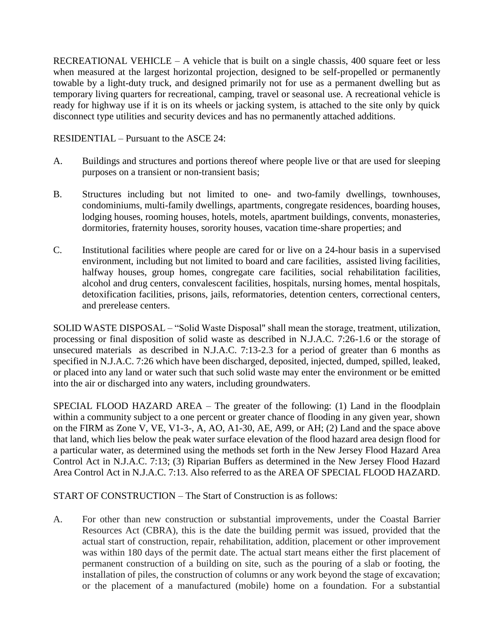RECREATIONAL VEHICLE – A vehicle that is built on a single chassis,  $400$  square feet or less when measured at the largest horizontal projection, designed to be self-propelled or permanently towable by a light-duty truck, and designed primarily not for use as a permanent dwelling but as temporary living quarters for recreational, camping, travel or seasonal use. A recreational vehicle is ready for highway use if it is on its wheels or jacking system, is attached to the site only by quick disconnect type utilities and security devices and has no permanently attached additions.

RESIDENTIAL – Pursuant to the ASCE 24:

- A. Buildings and structures and portions thereof where people live or that are used for sleeping purposes on a transient or non-transient basis;
- B. Structures including but not limited to one- and two-family dwellings, townhouses, condominiums, multi-family dwellings, apartments, congregate residences, boarding houses, lodging houses, rooming houses, hotels, motels, apartment buildings, convents, monasteries, dormitories, fraternity houses, sorority houses, vacation time-share properties; and
- C. Institutional facilities where people are cared for or live on a 24-hour basis in a supervised environment, including but not limited to board and care facilities, assisted living facilities, halfway houses, group homes, congregate care facilities, social rehabilitation facilities, alcohol and drug centers, convalescent facilities, hospitals, nursing homes, mental hospitals, detoxification facilities, prisons, jails, reformatories, detention centers, correctional centers, and prerelease centers.

SOLID WASTE DISPOSAL – "Solid Waste Disposal" shall mean the storage, treatment, utilization, processing or final disposition of solid waste as described in N.J.A.C. 7:26-1.6 or the storage of unsecured materials as described in N.J.A.C. 7:13-2.3 for a period of greater than 6 months as specified in N.J.A.C. 7:26 which have been discharged, deposited, injected, dumped, spilled, leaked, or placed into any land or water such that such solid waste may enter the environment or be emitted into the air or discharged into any waters, including groundwaters.

SPECIAL FLOOD HAZARD AREA – The greater of the following: (1) Land in the floodplain within a community subject to a one percent or greater chance of flooding in any given year, shown on the FIRM as Zone V, VE, V1-3-, A, AO, A1-30, AE, A99, or AH; (2) Land and the space above that land, which lies below the peak water surface elevation of the flood hazard area design flood for a particular water, as determined using the methods set forth in the New Jersey Flood Hazard Area Control Act in N.J.A.C. 7:13; (3) Riparian Buffers as determined in the New Jersey Flood Hazard Area Control Act in N.J.A.C. 7:13. Also referred to as the AREA OF SPECIAL FLOOD HAZARD.

START OF CONSTRUCTION – The Start of Construction is as follows:

A. For other than new construction or substantial improvements, under the Coastal Barrier Resources Act (CBRA), this is the date the building permit was issued, provided that the actual start of construction, repair, rehabilitation, addition, placement or other improvement was within 180 days of the permit date. The actual start means either the first placement of permanent construction of a building on site, such as the pouring of a slab or footing, the installation of piles, the construction of columns or any work beyond the stage of excavation; or the placement of a manufactured (mobile) home on a foundation. For a substantial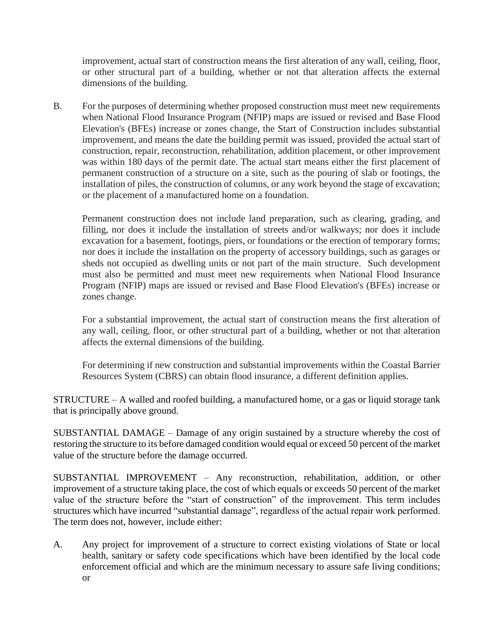improvement, actual start of construction means the first alteration of any wall, ceiling, floor, or other structural part of a building, whether or not that alteration affects the external dimensions of the building.

B. For the purposes of determining whether proposed construction must meet new requirements when National Flood Insurance Program (NFIP) maps are issued or revised and Base Flood Elevation's (BFEs) increase or zones change, the Start of Construction includes substantial improvement, and means the date the building permit was issued, provided the actual start of construction, repair, reconstruction, rehabilitation, addition placement, or other improvement was within 180 days of the permit date. The actual start means either the first placement of permanent construction of a structure on a site, such as the pouring of slab or footings, the installation of piles, the construction of columns, or any work beyond the stage of excavation; or the placement of a manufactured home on a foundation.

Permanent construction does not include land preparation, such as clearing, grading, and filling, nor does it include the installation of streets and/or walkways; nor does it include excavation for a basement, footings, piers, or foundations or the erection of temporary forms; nor does it include the installation on the property of accessory buildings, such as garages or sheds not occupied as dwelling units or not part of the main structure. Such development must also be permitted and must meet new requirements when National Flood Insurance Program (NFIP) maps are issued or revised and Base Flood Elevation's (BFEs) increase or zones change.

For a substantial improvement, the actual start of construction means the first alteration of any wall, ceiling, floor, or other structural part of a building, whether or not that alteration affects the external dimensions of the building.

For determining if new construction and substantial improvements within the Coastal Barrier Resources System (CBRS) can obtain flood insurance, a different definition applies.

STRUCTURE – A walled and roofed building, a manufactured home, or a gas or liquid storage tank that is principally above ground.

SUBSTANTIAL DAMAGE – Damage of any origin sustained by a structure whereby the cost of restoring the structure to its before damaged condition would equal or exceed 50 percent of the market value of the structure before the damage occurred.

SUBSTANTIAL IMPROVEMENT – Any reconstruction, rehabilitation, addition, or other improvement of a structure taking place, the cost of which equals or exceeds 50 percent of the market value of the structure before the "start of construction" of the improvement. This term includes structures which have incurred "substantial damage", regardless of the actual repair work performed. The term does not, however, include either:

A. Any project for improvement of a structure to correct existing violations of State or local health, sanitary or safety code specifications which have been identified by the local code enforcement official and which are the minimum necessary to assure safe living conditions; or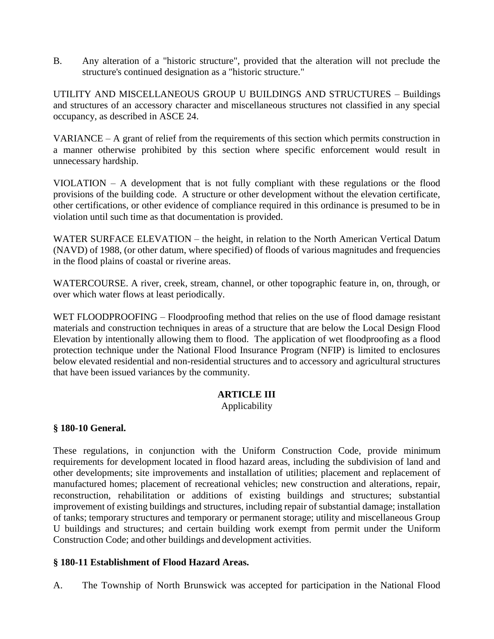B. Any alteration of a "historic structure", provided that the alteration will not preclude the structure's continued designation as a "historic structure."

UTILITY AND MISCELLANEOUS GROUP U BUILDINGS AND STRUCTURES – Buildings and structures of an accessory character and miscellaneous structures not classified in any special occupancy, as described in ASCE 24.

VARIANCE – A grant of relief from the requirements of this section which permits construction in a manner otherwise prohibited by this section where specific enforcement would result in unnecessary hardship.

VIOLATION – A development that is not fully compliant with these regulations or the flood provisions of the building code. A structure or other development without the elevation certificate, other certifications, or other evidence of compliance required in this ordinance is presumed to be in violation until such time as that documentation is provided.

WATER SURFACE ELEVATION – the height, in relation to the North American Vertical Datum (NAVD) of 1988, (or other datum, where specified) of floods of various magnitudes and frequencies in the flood plains of coastal or riverine areas.

WATERCOURSE. A river, creek, stream, channel, or other topographic feature in, on, through, or over which water flows at least periodically.

WET FLOODPROOFING – Floodproofing method that relies on the use of flood damage resistant materials and construction techniques in areas of a structure that are below the Local Design Flood Elevation by intentionally allowing them to flood. The application of wet floodproofing as a flood protection technique under the National Flood Insurance Program (NFIP) is limited to enclosures below elevated residential and non-residential structures and to accessory and agricultural structures that have been issued variances by the community.

### **ARTICLE III**

Applicability

### **§ 180-10 General.**

These regulations, in conjunction with the Uniform Construction Code, provide minimum requirements for development located in flood hazard areas, including the subdivision of land and other developments; site improvements and installation of utilities; placement and replacement of manufactured homes; placement of recreational vehicles; new construction and alterations, repair, reconstruction, rehabilitation or additions of existing buildings and structures; substantial improvement of existing buildings and structures, including repair of substantial damage; installation of tanks; temporary structures and temporary or permanent storage; utility and miscellaneous Group U buildings and structures; and certain building work exempt from permit under the Uniform Construction Code; and other buildings and development activities.

### **§ 180-11 Establishment of Flood Hazard Areas.**

A. The Township of North Brunswick was accepted for participation in the National Flood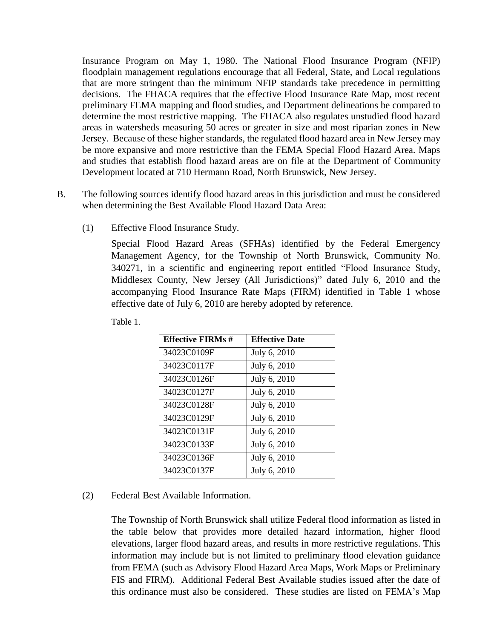Insurance Program on May 1, 1980. The National Flood Insurance Program (NFIP) floodplain management regulations encourage that all Federal, State, and Local regulations that are more stringent than the minimum NFIP standards take precedence in permitting decisions. The FHACA requires that the effective Flood Insurance Rate Map, most recent preliminary FEMA mapping and flood studies, and Department delineations be compared to determine the most restrictive mapping. The FHACA also regulates unstudied flood hazard areas in watersheds measuring 50 acres or greater in size and most riparian zones in New Jersey. Because of these higher standards, the regulated flood hazard area in New Jersey may be more expansive and more restrictive than the FEMA Special Flood Hazard Area. Maps and studies that establish flood hazard areas are on file at the Department of Community Development located at 710 Hermann Road, North Brunswick, New Jersey.

- B. The following sources identify flood hazard areas in this jurisdiction and must be considered when determining the Best Available Flood Hazard Data Area:
	- (1) Effective Flood Insurance Study.

Special Flood Hazard Areas (SFHAs) identified by the Federal Emergency Management Agency, for the Township of North Brunswick, Community No. 340271, in a scientific and engineering report entitled "Flood Insurance Study, Middlesex County, New Jersey (All Jurisdictions)" dated July 6, 2010 and the accompanying Flood Insurance Rate Maps (FIRM) identified in Table 1 whose effective date of July 6, 2010 are hereby adopted by reference.

| <b>Effective FIRMs #</b> | <b>Effective Date</b> |
|--------------------------|-----------------------|
| 34023C0109F              | July 6, 2010          |
| 34023C0117F              | July 6, 2010          |
| 34023C0126F              | July 6, 2010          |
| 34023C0127F              | July 6, 2010          |
| 34023C0128F              | July 6, 2010          |
| 34023C0129F              | July 6, 2010          |
| 34023C0131F              | July 6, 2010          |
| 34023C0133F              | July 6, 2010          |
| 34023C0136F              | July 6, 2010          |
| 34023C0137F              | July 6, 2010          |

Table 1.

### (2) Federal Best Available Information.

The Township of North Brunswick shall utilize Federal flood information as listed in the table below that provides more detailed hazard information, higher flood elevations, larger flood hazard areas, and results in more restrictive regulations. This information may include but is not limited to preliminary flood elevation guidance from FEMA (such as Advisory Flood Hazard Area Maps, Work Maps or Preliminary FIS and FIRM). Additional Federal Best Available studies issued after the date of this ordinance must also be considered. These studies are listed on FEMA's Map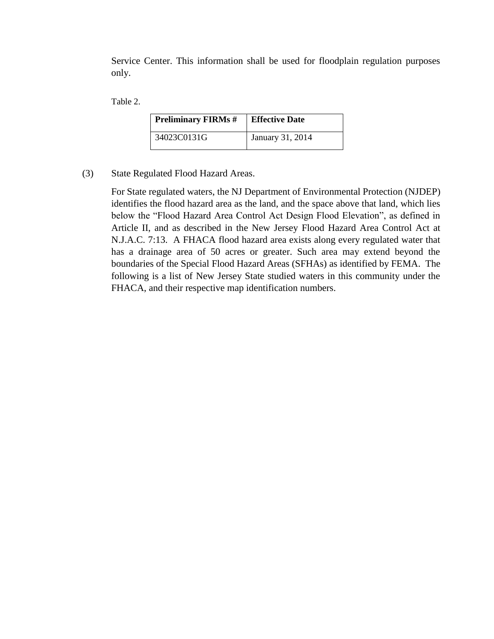Service Center. This information shall be used for floodplain regulation purposes only.

Table 2.

| <b>Preliminary FIRMs #</b> | <b>Effective Date</b> |
|----------------------------|-----------------------|
| 34023C0131G                | January 31, 2014      |

(3) State Regulated Flood Hazard Areas.

For State regulated waters, the NJ Department of Environmental Protection (NJDEP) identifies the flood hazard area as the land, and the space above that land, which lies below the "Flood Hazard Area Control Act Design Flood Elevation", as defined in Article II, and as described in the New Jersey Flood Hazard Area Control Act at N.J.A.C. 7:13. A FHACA flood hazard area exists along every regulated water that has a drainage area of 50 acres or greater. Such area may extend beyond the boundaries of the Special Flood Hazard Areas (SFHAs) as identified by FEMA. The following is a list of New Jersey State studied waters in this community under the FHACA, and their respective map identification numbers.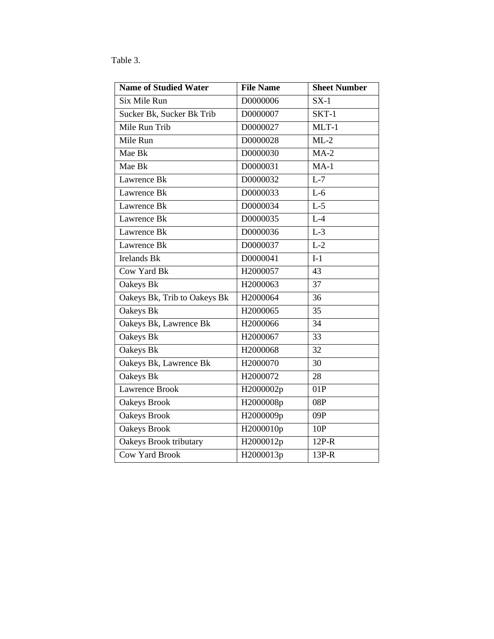## Table 3.

| <b>Name of Studied Water</b>  | <b>File Name</b> | <b>Sheet Number</b> |
|-------------------------------|------------------|---------------------|
| Six Mile Run                  | D0000006         | $SX-1$              |
| Sucker Bk, Sucker Bk Trib     | D0000007         | SKT-1               |
| Mile Run Trib                 | D0000027         | $MLT-1$             |
| Mile Run                      | D0000028         | $ML-2$              |
| Mae Bk                        | D0000030         | $MA-2$              |
| Mae Bk                        | D0000031         | $MA-1$              |
| Lawrence Bk                   | D0000032         | $L-7$               |
| Lawrence Bk                   | D0000033         | $L-6$               |
| Lawrence Bk                   | D0000034         | $L-5$               |
| Lawrence Bk                   | D0000035         | $L-4$               |
| Lawrence Bk                   | D0000036         | $L-3$               |
| Lawrence Bk                   | D0000037         | $L-2$               |
| <b>Irelands Bk</b>            | D0000041         | $I-1$               |
| Cow Yard Bk                   | H2000057         | 43                  |
| Oakeys Bk                     | H2000063         | 37                  |
| Oakeys Bk, Trib to Oakeys Bk  | H2000064         | 36                  |
| Oakeys Bk                     | H2000065         | 35                  |
| Oakeys Bk, Lawrence Bk        | H2000066         | 34                  |
| Oakeys Bk                     | H2000067         | 33                  |
| Oakeys Bk                     | H2000068         | 32                  |
| Oakeys Bk, Lawrence Bk        | H2000070         | 30                  |
| Oakeys Bk                     | H2000072         | 28                  |
| <b>Lawrence Brook</b>         | H2000002p        | 01P                 |
| <b>Oakeys Brook</b>           | H2000008p        | 08P                 |
| <b>Oakeys Brook</b>           | H2000009p        | 09P                 |
| <b>Oakeys Brook</b>           | H2000010p        | 10P                 |
| <b>Oakeys Brook tributary</b> | H2000012p        | $12P-R$             |
| <b>Cow Yard Brook</b>         | H2000013p        | 13P-R               |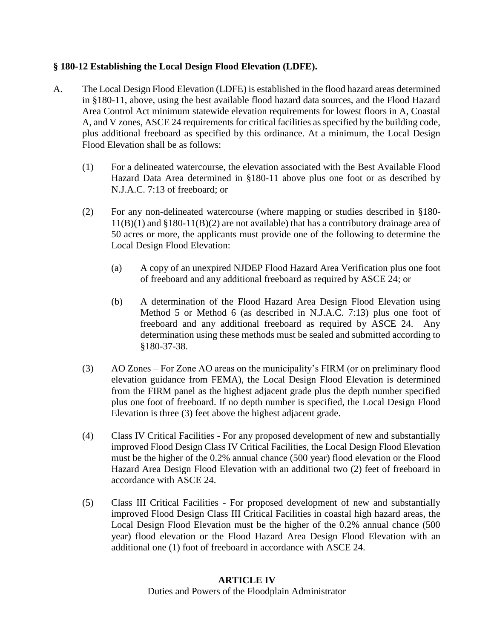### **§ 180-12 Establishing the Local Design Flood Elevation (LDFE).**

- A. The Local Design Flood Elevation (LDFE) is established in the flood hazard areas determined in §180-11, above, using the best available flood hazard data sources, and the Flood Hazard Area Control Act minimum statewide elevation requirements for lowest floors in A, Coastal A, and V zones, ASCE 24 requirements for critical facilities as specified by the building code, plus additional freeboard as specified by this ordinance. At a minimum, the Local Design Flood Elevation shall be as follows:
	- (1) For a delineated watercourse, the elevation associated with the Best Available Flood Hazard Data Area determined in §180-11 above plus one foot or as described by N.J.A.C. 7:13 of freeboard; or
	- (2) For any non-delineated watercourse (where mapping or studies described in §180- 11(B)(1) and §180-11(B)(2) are not available) that has a contributory drainage area of 50 acres or more, the applicants must provide one of the following to determine the Local Design Flood Elevation:
		- (a) A copy of an unexpired NJDEP Flood Hazard Area Verification plus one foot of freeboard and any additional freeboard as required by ASCE 24; or
		- (b) A determination of the Flood Hazard Area Design Flood Elevation using Method 5 or Method 6 (as described in N.J.A.C. 7:13) plus one foot of freeboard and any additional freeboard as required by ASCE 24. Any determination using these methods must be sealed and submitted according to §180-37-38.
	- (3) AO Zones For Zone AO areas on the municipality's FIRM (or on preliminary flood elevation guidance from FEMA), the Local Design Flood Elevation is determined from the FIRM panel as the highest adjacent grade plus the depth number specified plus one foot of freeboard. If no depth number is specified, the Local Design Flood Elevation is three (3) feet above the highest adjacent grade.
	- (4) Class IV Critical Facilities For any proposed development of new and substantially improved Flood Design Class IV Critical Facilities, the Local Design Flood Elevation must be the higher of the 0.2% annual chance (500 year) flood elevation or the Flood Hazard Area Design Flood Elevation with an additional two (2) feet of freeboard in accordance with ASCE 24.
	- (5) Class III Critical Facilities For proposed development of new and substantially improved Flood Design Class III Critical Facilities in coastal high hazard areas, the Local Design Flood Elevation must be the higher of the 0.2% annual chance (500 year) flood elevation or the Flood Hazard Area Design Flood Elevation with an additional one (1) foot of freeboard in accordance with ASCE 24.

### **ARTICLE IV**

Duties and Powers of the Floodplain Administrator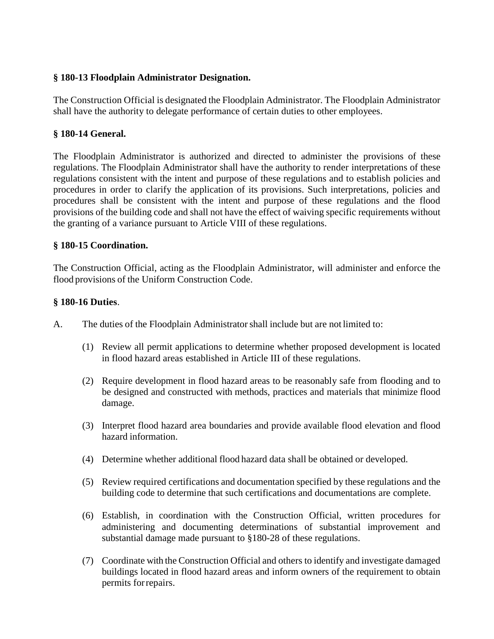### **§ 180-13 Floodplain Administrator Designation.**

The Construction Official is designated the Floodplain Administrator. The Floodplain Administrator shall have the authority to delegate performance of certain duties to other employees.

### **§ 180-14 General.**

The Floodplain Administrator is authorized and directed to administer the provisions of these regulations. The Floodplain Administrator shall have the authority to render interpretations of these regulations consistent with the intent and purpose of these regulations and to establish policies and procedures in order to clarify the application of its provisions. Such interpretations, policies and procedures shall be consistent with the intent and purpose of these regulations and the flood provisions of the building code and shall not have the effect of waiving specific requirements without the granting of a variance pursuant to Article VIII of these regulations.

### **§ 180-15 Coordination.**

The Construction Official, acting as the Floodplain Administrator, will administer and enforce the flood provisions of the Uniform Construction Code.

### **§ 180-16 Duties**.

- A. The duties of the Floodplain Administratorshall include but are not limited to:
	- (1) Review all permit applications to determine whether proposed development is located in flood hazard areas established in Article III of these regulations.
	- (2) Require development in flood hazard areas to be reasonably safe from flooding and to be designed and constructed with methods, practices and materials that minimize flood damage.
	- (3) Interpret flood hazard area boundaries and provide available flood elevation and flood hazard information.
	- (4) Determine whether additional flood hazard data shall be obtained or developed.
	- (5) Review required certifications and documentation specified by these regulations and the building code to determine that such certifications and documentations are complete.
	- (6) Establish, in coordination with the Construction Official, written procedures for administering and documenting determinations of substantial improvement and substantial damage made pursuant to §180-28 of these regulations.
	- (7) Coordinate with the Construction Official and others to identify and investigate damaged buildings located in flood hazard areas and inform owners of the requirement to obtain permits forrepairs.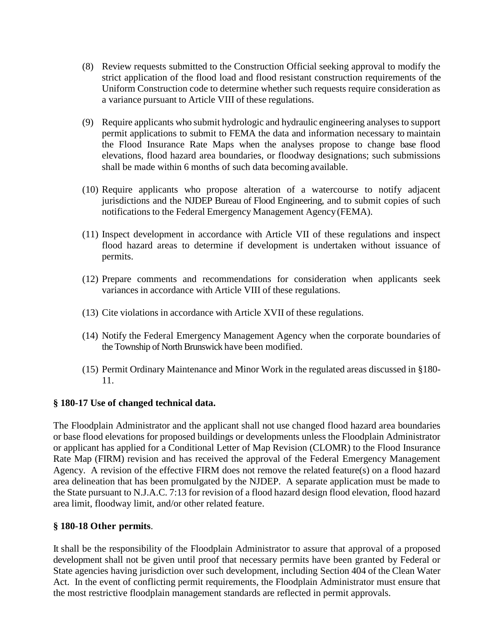- (8) Review requests submitted to the Construction Official seeking approval to modify the strict application of the flood load and flood resistant construction requirements of the Uniform Construction code to determine whether such requests require consideration as a variance pursuant to Article VIII of these regulations.
- (9) Require applicants who submit hydrologic and hydraulic engineering analyses to support permit applications to submit to FEMA the data and information necessary to maintain the Flood Insurance Rate Maps when the analyses propose to change base flood elevations, flood hazard area boundaries, or floodway designations; such submissions shall be made within 6 months of such data becoming available.
- (10) Require applicants who propose alteration of a watercourse to notify adjacent jurisdictions and the NJDEP Bureau of Flood Engineering, and to submit copies of such notifications to the Federal Emergency Management Agency(FEMA).
- (11) Inspect development in accordance with Article VII of these regulations and inspect flood hazard areas to determine if development is undertaken without issuance of permits.
- (12) Prepare comments and recommendations for consideration when applicants seek variances in accordance with Article VIII of these regulations.
- (13) Cite violations in accordance with Article XVII of these regulations.
- (14) Notify the Federal Emergency Management Agency when the corporate boundaries of the Township of North Brunswick have been modified.
- (15) Permit Ordinary Maintenance and Minor Work in the regulated areas discussed in §180- 11.

### **§ 180-17 Use of changed technical data.**

The Floodplain Administrator and the applicant shall not use changed flood hazard area boundaries or base flood elevations for proposed buildings or developments unless the Floodplain Administrator or applicant has applied for a Conditional Letter of Map Revision (CLOMR) to the Flood Insurance Rate Map (FIRM) revision and has received the approval of the Federal Emergency Management Agency. A revision of the effective FIRM does not remove the related feature(s) on a flood hazard area delineation that has been promulgated by the NJDEP. A separate application must be made to the State pursuant to N.J.A.C. 7:13 for revision of a flood hazard design flood elevation, flood hazard area limit, floodway limit, and/or other related feature.

#### **§ 180-18 Other permits**.

It shall be the responsibility of the Floodplain Administrator to assure that approval of a proposed development shall not be given until proof that necessary permits have been granted by Federal or State agencies having jurisdiction over such development, including Section 404 of the Clean Water Act. In the event of conflicting permit requirements, the Floodplain Administrator must ensure that the most restrictive floodplain management standards are reflected in permit approvals.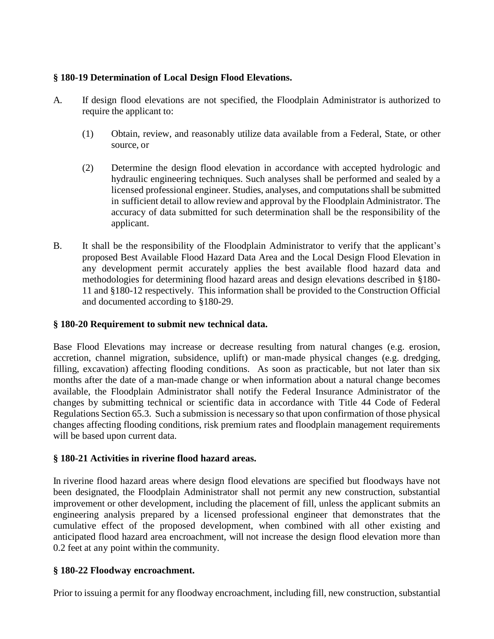## **§ 180-19 Determination of Local Design Flood Elevations.**

- A. If design flood elevations are not specified, the Floodplain Administrator is authorized to require the applicant to:
	- (1) Obtain, review, and reasonably utilize data available from a Federal, State, or other source, or
	- (2) Determine the design flood elevation in accordance with accepted hydrologic and hydraulic engineering techniques. Such analyses shall be performed and sealed by a licensed professional engineer. Studies, analyses, and computations shall be submitted in sufficient detail to allowreviewand approval by the Floodplain Administrator. The accuracy of data submitted for such determination shall be the responsibility of the applicant.
- B. It shall be the responsibility of the Floodplain Administrator to verify that the applicant's proposed Best Available Flood Hazard Data Area and the Local Design Flood Elevation in any development permit accurately applies the best available flood hazard data and methodologies for determining flood hazard areas and design elevations described in §180- 11 and §180-12 respectively. This information shall be provided to the Construction Official and documented according to §180-29.

### **§ 180-20 Requirement to submit new technical data.**

Base Flood Elevations may increase or decrease resulting from natural changes (e.g. erosion, accretion, channel migration, subsidence, uplift) or man-made physical changes (e.g. dredging, filling, excavation) affecting flooding conditions. As soon as practicable, but not later than six months after the date of a man-made change or when information about a natural change becomes available, the Floodplain Administrator shall notify the Federal Insurance Administrator of the changes by submitting technical or scientific data in accordance with Title 44 Code of Federal Regulations Section 65.3. Such a submission is necessary so that upon confirmation of those physical changes affecting flooding conditions, risk premium rates and floodplain management requirements will be based upon current data.

### **§ 180-21 Activities in riverine flood hazard areas.**

In riverine flood hazard areas where design flood elevations are specified but floodways have not been designated, the Floodplain Administrator shall not permit any new construction, substantial improvement or other development, including the placement of fill, unless the applicant submits an engineering analysis prepared by a licensed professional engineer that demonstrates that the cumulative effect of the proposed development, when combined with all other existing and anticipated flood hazard area encroachment, will not increase the design flood elevation more than 0.2 feet at any point within the community.

### **§ 180-22 Floodway encroachment.**

Prior to issuing a permit for any floodway encroachment, including fill, new construction, substantial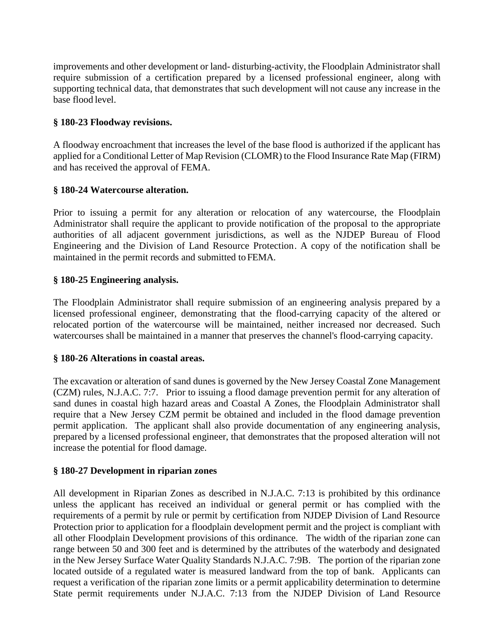improvements and other development or land- disturbing-activity, the Floodplain Administrator shall require submission of a certification prepared by a licensed professional engineer, along with supporting technical data, that demonstrates that such development will not cause any increase in the base flood level.

### **§ 180-23 Floodway revisions.**

A floodway encroachment that increases the level of the base flood is authorized if the applicant has applied for a Conditional Letter of Map Revision (CLOMR) to the Flood Insurance Rate Map (FIRM) and has received the approval of FEMA.

### **§ 180-24 Watercourse alteration.**

Prior to issuing a permit for any alteration or relocation of any watercourse, the Floodplain Administrator shall require the applicant to provide notification of the proposal to the appropriate authorities of all adjacent government jurisdictions, as well as the NJDEP Bureau of Flood Engineering and the Division of Land Resource Protection. A copy of the notification shall be maintained in the permit records and submitted toFEMA.

### **§ 180-25 Engineering analysis.**

The Floodplain Administrator shall require submission of an engineering analysis prepared by a licensed professional engineer, demonstrating that the flood-carrying capacity of the altered or relocated portion of the watercourse will be maintained, neither increased nor decreased. Such watercourses shall be maintained in a manner that preserves the channel's flood-carrying capacity.

#### **§ 180-26 Alterations in coastal areas.**

The excavation or alteration of sand dunes is governed by the New Jersey Coastal Zone Management (CZM) rules, N.J.A.C. 7:7. Prior to issuing a flood damage prevention permit for any alteration of sand dunes in coastal high hazard areas and Coastal A Zones, the Floodplain Administrator shall require that a New Jersey CZM permit be obtained and included in the flood damage prevention permit application. The applicant shall also provide documentation of any engineering analysis, prepared by a licensed professional engineer, that demonstrates that the proposed alteration will not increase the potential for flood damage.

#### **§ 180-27 Development in riparian zones**

All development in Riparian Zones as described in N.J.A.C. 7:13 is prohibited by this ordinance unless the applicant has received an individual or general permit or has complied with the requirements of a permit by rule or permit by certification from NJDEP Division of Land Resource Protection prior to application for a floodplain development permit and the project is compliant with all other Floodplain Development provisions of this ordinance. The width of the riparian zone can range between 50 and 300 feet and is determined by the attributes of the waterbody and designated in the New Jersey Surface Water Quality Standards N.J.A.C. 7:9B. The portion of the riparian zone located outside of a regulated water is measured landward from the top of bank. Applicants can request a verification of the riparian zone limits or a permit applicability determination to determine State permit requirements under N.J.A.C. 7:13 from the NJDEP Division of Land Resource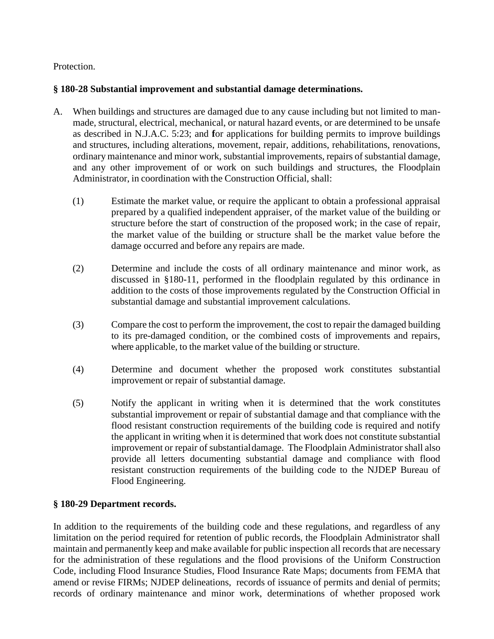Protection.

## **§ 180-28 Substantial improvement and substantial damage determinations.**

- A. When buildings and structures are damaged due to any cause including but not limited to manmade, structural, electrical, mechanical, or natural hazard events, or are determined to be unsafe as described in N.J.A.C. 5:23; and **f**or applications for building permits to improve buildings and structures, including alterations, movement, repair, additions, rehabilitations, renovations, ordinary maintenance and minor work, substantial improvements, repairs of substantial damage, and any other improvement of or work on such buildings and structures, the Floodplain Administrator, in coordination with the Construction Official, shall:
	- (1) Estimate the market value, or require the applicant to obtain a professional appraisal prepared by a qualified independent appraiser, of the market value of the building or structure before the start of construction of the proposed work; in the case of repair, the market value of the building or structure shall be the market value before the damage occurred and before any repairs are made.
	- (2) Determine and include the costs of all ordinary maintenance and minor work, as discussed in §180-11, performed in the floodplain regulated by this ordinance in addition to the costs of those improvements regulated by the Construction Official in substantial damage and substantial improvement calculations.
	- (3) Compare the cost to perform the improvement, the cost to repair the damaged building to its pre-damaged condition, or the combined costs of improvements and repairs, where applicable, to the market value of the building or structure.
	- (4) Determine and document whether the proposed work constitutes substantial improvement or repair of substantial damage.
	- (5) Notify the applicant in writing when it is determined that the work constitutes substantial improvement or repair of substantial damage and that compliance with the flood resistant construction requirements of the building code is required and notify the applicant in writing when it is determined that work does not constitute substantial improvement or repair of substantialdamage. The Floodplain Administrator shall also provide all letters documenting substantial damage and compliance with flood resistant construction requirements of the building code to the NJDEP Bureau of Flood Engineering.

# **§ 180-29 Department records.**

In addition to the requirements of the building code and these regulations, and regardless of any limitation on the period required for retention of public records, the Floodplain Administrator shall maintain and permanently keep and make available for public inspection all records that are necessary for the administration of these regulations and the flood provisions of the Uniform Construction Code, including Flood Insurance Studies, Flood Insurance Rate Maps; documents from FEMA that amend or revise FIRMs; NJDEP delineations, records of issuance of permits and denial of permits; records of ordinary maintenance and minor work, determinations of whether proposed work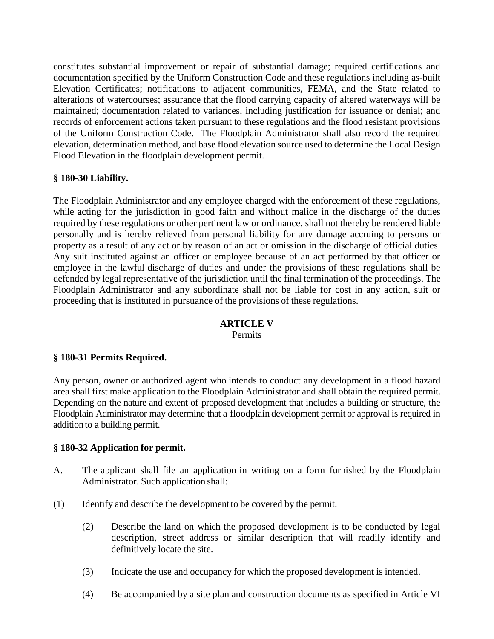constitutes substantial improvement or repair of substantial damage; required certifications and documentation specified by the Uniform Construction Code and these regulations including as-built Elevation Certificates; notifications to adjacent communities, FEMA, and the State related to alterations of watercourses; assurance that the flood carrying capacity of altered waterways will be maintained; documentation related to variances, including justification for issuance or denial; and records of enforcement actions taken pursuant to these regulations and the flood resistant provisions of the Uniform Construction Code. The Floodplain Administrator shall also record the required elevation, determination method, and base flood elevation source used to determine the Local Design Flood Elevation in the floodplain development permit.

### **§ 180-30 Liability.**

The Floodplain Administrator and any employee charged with the enforcement of these regulations, while acting for the jurisdiction in good faith and without malice in the discharge of the duties required by these regulations or other pertinent law or ordinance, shall not thereby be rendered liable personally and is hereby relieved from personal liability for any damage accruing to persons or property as a result of any act or by reason of an act or omission in the discharge of official duties. Any suit instituted against an officer or employee because of an act performed by that officer or employee in the lawful discharge of duties and under the provisions of these regulations shall be defended by legal representative of the jurisdiction until the final termination of the proceedings. The Floodplain Administrator and any subordinate shall not be liable for cost in any action, suit or proceeding that is instituted in pursuance of the provisions of these regulations.

# **ARTICLE V**

Permits

### **§ 180-31 Permits Required.**

Any person, owner or authorized agent who intends to conduct any development in a flood hazard area shall first make application to the Floodplain Administrator and shall obtain the required permit. Depending on the nature and extent of proposed development that includes a building or structure, the Floodplain Administrator may determine that a floodplain development permit or approval is required in addition to a building permit.

#### **§ 180-32 Application for permit.**

- A. The applicant shall file an application in writing on a form furnished by the Floodplain Administrator. Such application shall:
- (1) Identify and describe the development to be covered by the permit.
	- (2) Describe the land on which the proposed development is to be conducted by legal description, street address or similar description that will readily identify and definitively locate the site.
	- (3) Indicate the use and occupancy for which the proposed development is intended.
	- (4) Be accompanied by a site plan and construction documents as specified in Article VI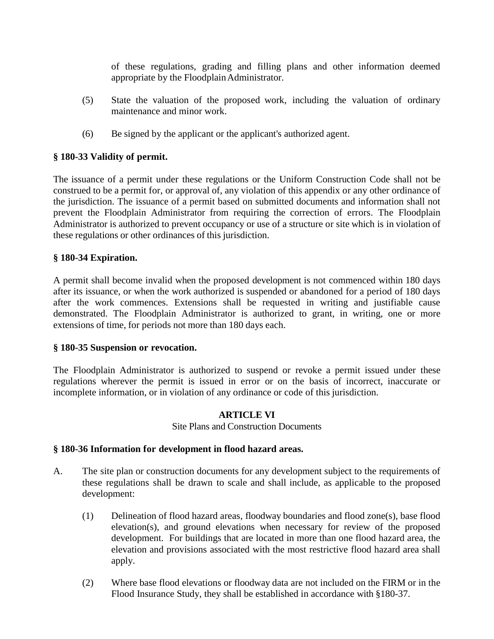of these regulations, grading and filling plans and other information deemed appropriate by the Floodplain Administrator.

- (5) State the valuation of the proposed work, including the valuation of ordinary maintenance and minor work.
- (6) Be signed by the applicant or the applicant's authorized agent.

### **§ 180-33 Validity of permit.**

The issuance of a permit under these regulations or the Uniform Construction Code shall not be construed to be a permit for, or approval of, any violation of this appendix or any other ordinance of the jurisdiction. The issuance of a permit based on submitted documents and information shall not prevent the Floodplain Administrator from requiring the correction of errors. The Floodplain Administrator is authorized to prevent occupancy or use of a structure or site which is in violation of these regulations or other ordinances of this jurisdiction.

#### **§ 180-34 Expiration.**

A permit shall become invalid when the proposed development is not commenced within 180 days after its issuance, or when the work authorized is suspended or abandoned for a period of 180 days after the work commences. Extensions shall be requested in writing and justifiable cause demonstrated. The Floodplain Administrator is authorized to grant, in writing, one or more extensions of time, for periods not more than 180 days each.

#### **§ 180-35 Suspension or revocation.**

The Floodplain Administrator is authorized to suspend or revoke a permit issued under these regulations wherever the permit is issued in error or on the basis of incorrect, inaccurate or incomplete information, or in violation of any ordinance or code of this jurisdiction.

#### **ARTICLE VI**

Site Plans and Construction Documents

#### **§ 180-36 Information for development in flood hazard areas.**

- A. The site plan or construction documents for any development subject to the requirements of these regulations shall be drawn to scale and shall include, as applicable to the proposed development:
	- (1) Delineation of flood hazard areas, floodway boundaries and flood zone(s), base flood elevation(s), and ground elevations when necessary for review of the proposed development. For buildings that are located in more than one flood hazard area, the elevation and provisions associated with the most restrictive flood hazard area shall apply.
	- (2) Where base flood elevations or floodway data are not included on the FIRM or in the Flood Insurance Study, they shall be established in accordance with §180-37.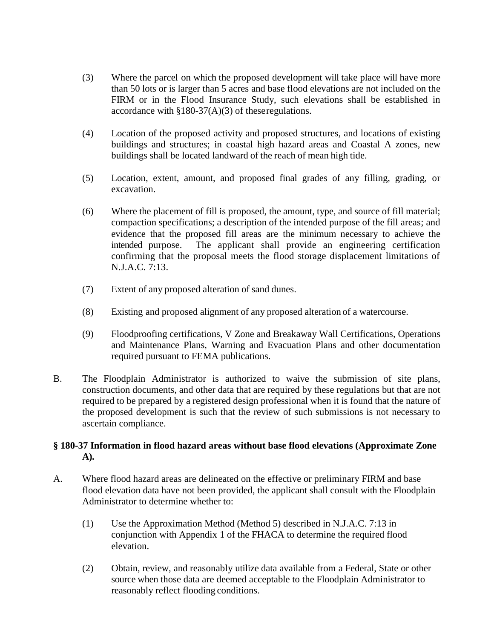- (3) Where the parcel on which the proposed development will take place will have more than 50 lots or is larger than 5 acres and base flood elevations are not included on the FIRM or in the Flood Insurance Study, such elevations shall be established in accordance with §180-37(A)(3) of theseregulations.
- (4) Location of the proposed activity and proposed structures, and locations of existing buildings and structures; in coastal high hazard areas and Coastal A zones, new buildings shall be located landward of the reach of mean high tide.
- (5) Location, extent, amount, and proposed final grades of any filling, grading, or excavation.
- (6) Where the placement of fill is proposed, the amount, type, and source of fill material; compaction specifications; a description of the intended purpose of the fill areas; and evidence that the proposed fill areas are the minimum necessary to achieve the intended purpose. The applicant shall provide an engineering certification confirming that the proposal meets the flood storage displacement limitations of N.J.A.C. 7:13.
- (7) Extent of any proposed alteration of sand dunes.
- (8) Existing and proposed alignment of any proposed alteration of a watercourse.
- (9) Floodproofing certifications, V Zone and Breakaway Wall Certifications, Operations and Maintenance Plans, Warning and Evacuation Plans and other documentation required pursuant to FEMA publications.
- B. The Floodplain Administrator is authorized to waive the submission of site plans, construction documents, and other data that are required by these regulations but that are not required to be prepared by a registered design professional when it is found that the nature of the proposed development is such that the review of such submissions is not necessary to ascertain compliance.

### **§ 180-37 Information in flood hazard areas without base flood elevations (Approximate Zone A).**

- A. Where flood hazard areas are delineated on the effective or preliminary FIRM and base flood elevation data have not been provided, the applicant shall consult with the Floodplain Administrator to determine whether to:
	- (1) Use the Approximation Method (Method 5) described in N.J.A.C. 7:13 in conjunction with Appendix 1 of the FHACA to determine the required flood elevation.
	- (2) Obtain, review, and reasonably utilize data available from a Federal, State or other source when those data are deemed acceptable to the Floodplain Administrator to reasonably reflect flooding conditions.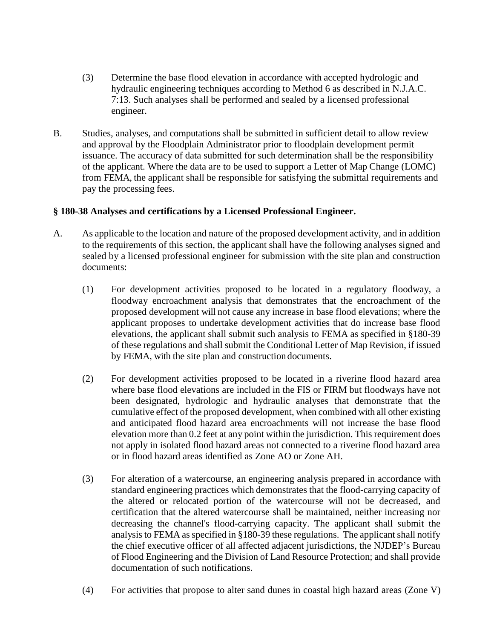- (3) Determine the base flood elevation in accordance with accepted hydrologic and hydraulic engineering techniques according to Method 6 as described in N.J.A.C. 7:13. Such analyses shall be performed and sealed by a licensed professional engineer.
- B. Studies, analyses, and computations shall be submitted in sufficient detail to allow review and approval by the Floodplain Administrator prior to floodplain development permit issuance. The accuracy of data submitted for such determination shall be the responsibility of the applicant. Where the data are to be used to support a Letter of Map Change (LOMC) from FEMA, the applicant shall be responsible for satisfying the submittal requirements and pay the processing fees.

### **§ 180-38 Analyses and certifications by a Licensed Professional Engineer.**

- A. As applicable to the location and nature of the proposed development activity, and in addition to the requirements of this section, the applicant shall have the following analyses signed and sealed by a licensed professional engineer for submission with the site plan and construction documents:
	- (1) For development activities proposed to be located in a regulatory floodway, a floodway encroachment analysis that demonstrates that the encroachment of the proposed development will not cause any increase in base flood elevations; where the applicant proposes to undertake development activities that do increase base flood elevations, the applicant shall submit such analysis to FEMA as specified in §180-39 of these regulations and shall submit the Conditional Letter of Map Revision, if issued by FEMA, with the site plan and construction documents.
	- (2) For development activities proposed to be located in a riverine flood hazard area where base flood elevations are included in the FIS or FIRM but floodways have not been designated, hydrologic and hydraulic analyses that demonstrate that the cumulative effect of the proposed development, when combined with all other existing and anticipated flood hazard area encroachments will not increase the base flood elevation more than 0.2 feet at any point within the jurisdiction. This requirement does not apply in isolated flood hazard areas not connected to a riverine flood hazard area or in flood hazard areas identified as Zone AO or Zone AH.
	- (3) For alteration of a watercourse, an engineering analysis prepared in accordance with standard engineering practices which demonstrates that the flood-carrying capacity of the altered or relocated portion of the watercourse will not be decreased, and certification that the altered watercourse shall be maintained, neither increasing nor decreasing the channel's flood-carrying capacity. The applicant shall submit the analysis to FEMA as specified in §180-39 these regulations. The applicant shall notify the chief executive officer of all affected adjacent jurisdictions, the NJDEP's Bureau of Flood Engineering and the Division of Land Resource Protection; and shall provide documentation of such notifications.
	- (4) For activities that propose to alter sand dunes in coastal high hazard areas (Zone V)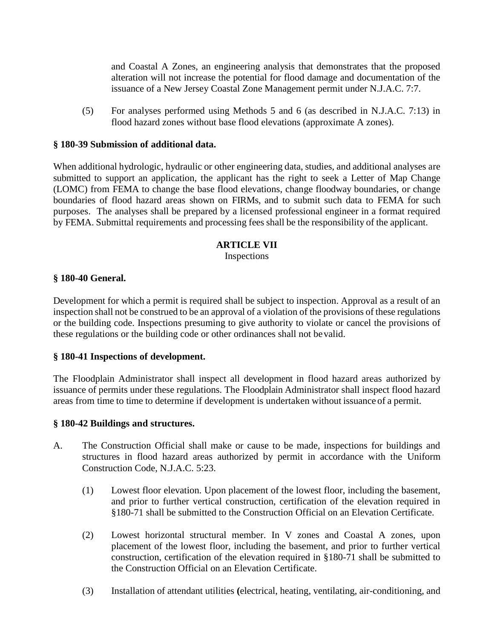and Coastal A Zones, an engineering analysis that demonstrates that the proposed alteration will not increase the potential for flood damage and documentation of the issuance of a New Jersey Coastal Zone Management permit under N.J.A.C. 7:7.

(5) For analyses performed using Methods 5 and 6 (as described in N.J.A.C. 7:13) in flood hazard zones without base flood elevations (approximate A zones).

#### **§ 180-39 Submission of additional data.**

When additional hydrologic, hydraulic or other engineering data, studies, and additional analyses are submitted to support an application, the applicant has the right to seek a Letter of Map Change (LOMC) from FEMA to change the base flood elevations, change floodway boundaries, or change boundaries of flood hazard areas shown on FIRMs, and to submit such data to FEMA for such purposes. The analyses shall be prepared by a licensed professional engineer in a format required by FEMA. Submittal requirements and processing fees shall be the responsibility of the applicant.

#### **ARTICLE VII**

Inspections

#### **§ 180-40 General.**

Development for which a permit is required shall be subject to inspection. Approval as a result of an inspection shall not be construed to be an approval of a violation of the provisions of these regulations or the building code. Inspections presuming to give authority to violate or cancel the provisions of these regulations or the building code or other ordinances shall not bevalid.

#### **§ 180-41 Inspections of development.**

The Floodplain Administrator shall inspect all development in flood hazard areas authorized by issuance of permits under these regulations. The Floodplain Administrator shall inspect flood hazard areas from time to time to determine if development is undertaken without issuance of a permit.

#### **§ 180-42 Buildings and structures.**

- A. The Construction Official shall make or cause to be made, inspections for buildings and structures in flood hazard areas authorized by permit in accordance with the Uniform Construction Code, N.J.A.C. 5:23.
	- (1) Lowest floor elevation. Upon placement of the lowest floor, including the basement, and prior to further vertical construction, certification of the elevation required in §180-71 shall be submitted to the Construction Official on an Elevation Certificate.
	- (2) Lowest horizontal structural member. In V zones and Coastal A zones, upon placement of the lowest floor, including the basement, and prior to further vertical construction, certification of the elevation required in §180-71 shall be submitted to the Construction Official on an Elevation Certificate.
	- (3) Installation of attendant utilities **(**electrical, heating, ventilating, air-conditioning, and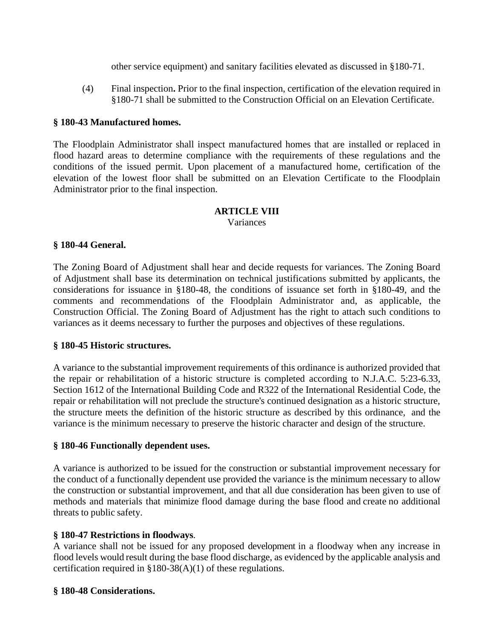other service equipment) and sanitary facilities elevated as discussed in §180-71.

(4) Final inspection**.** Prior to the final inspection, certification of the elevation required in §180-71 shall be submitted to the Construction Official on an Elevation Certificate.

### **§ 180-43 Manufactured homes.**

The Floodplain Administrator shall inspect manufactured homes that are installed or replaced in flood hazard areas to determine compliance with the requirements of these regulations and the conditions of the issued permit. Upon placement of a manufactured home, certification of the elevation of the lowest floor shall be submitted on an Elevation Certificate to the Floodplain Administrator prior to the final inspection.

# **ARTICLE VIII**

Variances

### **§ 180-44 General.**

The Zoning Board of Adjustment shall hear and decide requests for variances. The Zoning Board of Adjustment shall base its determination on technical justifications submitted by applicants, the considerations for issuance in §180-48, the conditions of issuance set forth in §180-49, and the comments and recommendations of the Floodplain Administrator and, as applicable, the Construction Official. The Zoning Board of Adjustment has the right to attach such conditions to variances as it deems necessary to further the purposes and objectives of these regulations.

#### **§ 180-45 Historic structures.**

A variance to the substantial improvement requirements of this ordinance is authorized provided that the repair or rehabilitation of a historic structure is completed according to N.J.A.C. 5:23-6.33, Section 1612 of the International Building Code and R322 of the International Residential Code, the repair or rehabilitation will not preclude the structure's continued designation as a historic structure, the structure meets the definition of the historic structure as described by this ordinance, and the variance is the minimum necessary to preserve the historic character and design of the structure.

#### **§ 180-46 Functionally dependent uses.**

A variance is authorized to be issued for the construction or substantial improvement necessary for the conduct of a functionally dependent use provided the variance is the minimum necessary to allow the construction or substantial improvement, and that all due consideration has been given to use of methods and materials that minimize flood damage during the base flood and create no additional threats to public safety.

#### **§ 180-47 Restrictions in floodways**.

A variance shall not be issued for any proposed development in a floodway when any increase in flood levels would result during the base flood discharge, as evidenced by the applicable analysis and certification required in §180-38(A)(1) of these regulations.

#### **§ 180-48 Considerations.**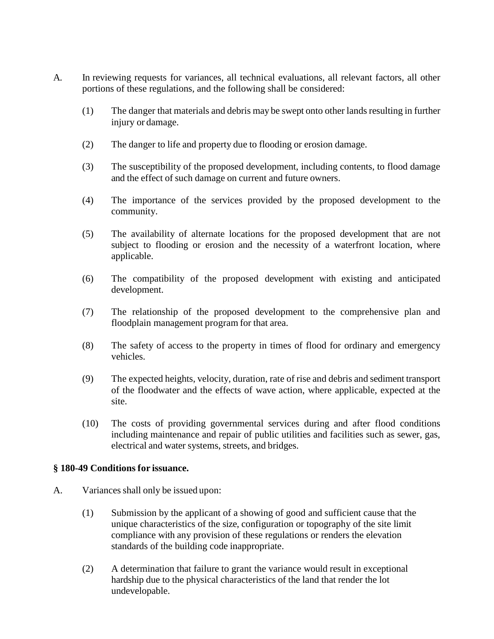- A. In reviewing requests for variances, all technical evaluations, all relevant factors, all other portions of these regulations, and the following shall be considered:
	- (1) The danger that materials and debris may be swept onto other lands resulting in further injury or damage.
	- (2) The danger to life and property due to flooding or erosion damage.
	- (3) The susceptibility of the proposed development, including contents, to flood damage and the effect of such damage on current and future owners.
	- (4) The importance of the services provided by the proposed development to the community.
	- (5) The availability of alternate locations for the proposed development that are not subject to flooding or erosion and the necessity of a waterfront location, where applicable.
	- (6) The compatibility of the proposed development with existing and anticipated development.
	- (7) The relationship of the proposed development to the comprehensive plan and floodplain management program for that area.
	- (8) The safety of access to the property in times of flood for ordinary and emergency vehicles.
	- (9) The expected heights, velocity, duration, rate of rise and debris and sediment transport of the floodwater and the effects of wave action, where applicable, expected at the site.
	- (10) The costs of providing governmental services during and after flood conditions including maintenance and repair of public utilities and facilities such as sewer, gas, electrical and water systems, streets, and bridges.

#### **§ 180-49 Conditions for issuance.**

- A. Variances shall only be issued upon:
	- (1) Submission by the applicant of a showing of good and sufficient cause that the unique characteristics of the size, configuration or topography of the site limit compliance with any provision of these regulations or renders the elevation standards of the building code inappropriate.
	- (2) A determination that failure to grant the variance would result in exceptional hardship due to the physical characteristics of the land that render the lot undevelopable.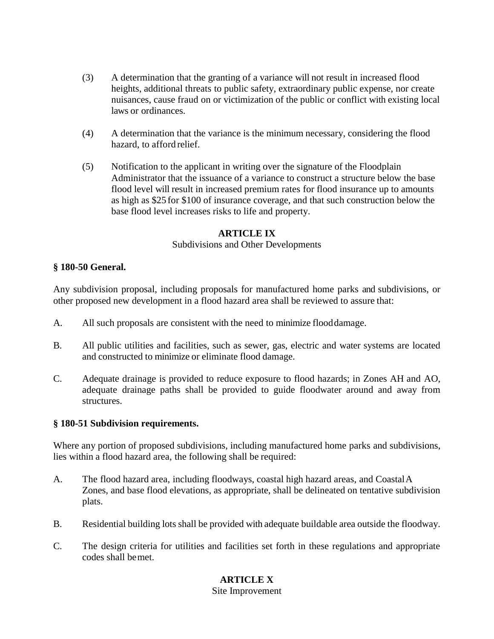- (3) A determination that the granting of a variance will not result in increased flood heights, additional threats to public safety, extraordinary public expense, nor create nuisances, cause fraud on or victimization of the public or conflict with existing local laws or ordinances.
- (4) A determination that the variance is the minimum necessary, considering the flood hazard, to afford relief.
- (5) Notification to the applicant in writing over the signature of the Floodplain Administrator that the issuance of a variance to construct a structure below the base flood level will result in increased premium rates for flood insurance up to amounts as high as \$25 for \$100 of insurance coverage, and that such construction below the base flood level increases risks to life and property.

#### **ARTICLE IX**

#### Subdivisions and Other Developments

#### **§ 180-50 General.**

Any subdivision proposal, including proposals for manufactured home parks and subdivisions, or other proposed new development in a flood hazard area shall be reviewed to assure that:

- A. All such proposals are consistent with the need to minimize flooddamage.
- B. All public utilities and facilities, such as sewer, gas, electric and water systems are located and constructed to minimize or eliminate flood damage.
- C. Adequate drainage is provided to reduce exposure to flood hazards; in Zones AH and AO, adequate drainage paths shall be provided to guide floodwater around and away from structures.

#### **§ 180-51 Subdivision requirements.**

Where any portion of proposed subdivisions, including manufactured home parks and subdivisions, lies within a flood hazard area, the following shall be required:

- A. The flood hazard area, including floodways, coastal high hazard areas, and CoastalA Zones, and base flood elevations, as appropriate, shall be delineated on tentative subdivision plats.
- B. Residential building lots shall be provided with adequate buildable area outside the floodway.
- C. The design criteria for utilities and facilities set forth in these regulations and appropriate codes shall bemet.

# **ARTICLE X**

Site Improvement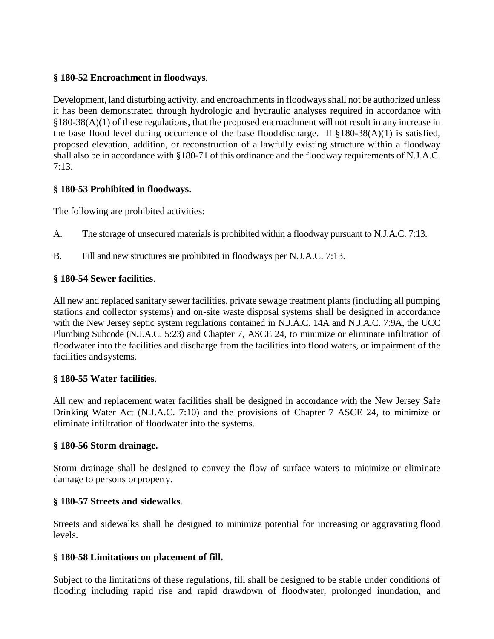### **§ 180-52 Encroachment in floodways**.

Development, land disturbing activity, and encroachments in floodways shall not be authorized unless it has been demonstrated through hydrologic and hydraulic analyses required in accordance with §180-38(A)(1) of these regulations, that the proposed encroachment will not result in any increase in the base flood level during occurrence of the base flood discharge. If §180-38(A)(1) is satisfied, proposed elevation, addition, or reconstruction of a lawfully existing structure within a floodway shall also be in accordance with §180-71 of this ordinance and the floodway requirements of N.J.A.C.  $7:13.$ 

## **§ 180-53 Prohibited in floodways.**

The following are prohibited activities:

- A. The storage of unsecured materials is prohibited within a floodway pursuant to N.J.A.C. 7:13.
- B. Fill and new structures are prohibited in floodways per N.J.A.C. 7:13.

## **§ 180-54 Sewer facilities**.

All new and replaced sanitary sewer facilities, private sewage treatment plants (including all pumping stations and collector systems) and on-site waste disposal systems shall be designed in accordance with the New Jersey septic system regulations contained in N.J.A.C. 14A and N.J.A.C. 7:9A, the UCC Plumbing Subcode (N.J.A.C. 5:23) and Chapter 7, ASCE 24, to minimize or eliminate infiltration of floodwater into the facilities and discharge from the facilities into flood waters, or impairment of the facilities andsystems.

### **§ 180-55 Water facilities**.

All new and replacement water facilities shall be designed in accordance with the New Jersey Safe Drinking Water Act (N.J.A.C. 7:10) and the provisions of Chapter 7 ASCE 24, to minimize or eliminate infiltration of floodwater into the systems.

### **§ 180-56 Storm drainage.**

Storm drainage shall be designed to convey the flow of surface waters to minimize or eliminate damage to persons orproperty.

# **§ 180-57 Streets and sidewalks**.

Streets and sidewalks shall be designed to minimize potential for increasing or aggravating flood levels.

### **§ 180-58 Limitations on placement of fill.**

Subject to the limitations of these regulations, fill shall be designed to be stable under conditions of flooding including rapid rise and rapid drawdown of floodwater, prolonged inundation, and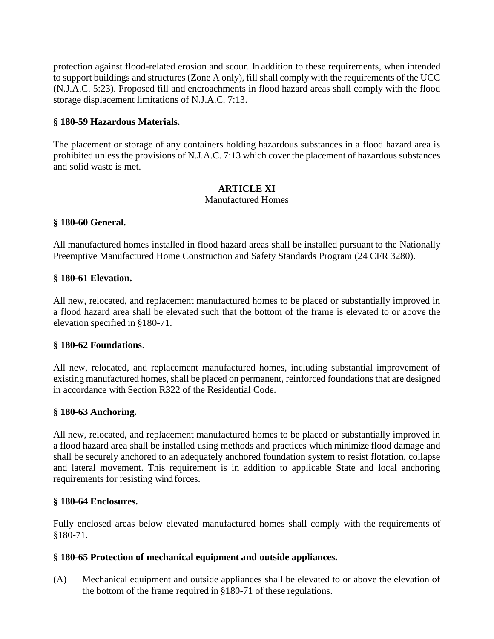protection against flood-related erosion and scour. In addition to these requirements, when intended to support buildings and structures (Zone A only), fill shall comply with the requirements of the UCC (N.J.A.C. 5:23). Proposed fill and encroachments in flood hazard areas shall comply with the flood storage displacement limitations of N.J.A.C. 7:13.

### **§ 180-59 Hazardous Materials.**

The placement or storage of any containers holding hazardous substances in a flood hazard area is prohibited unless the provisions of N.J.A.C. 7:13 which cover the placement of hazardous substances and solid waste is met.

### **ARTICLE XI**

### Manufactured Homes

### **§ 180-60 General.**

All manufactured homes installed in flood hazard areas shall be installed pursuant to the Nationally Preemptive Manufactured Home Construction and Safety Standards Program (24 CFR 3280).

### **§ 180-61 Elevation.**

All new, relocated, and replacement manufactured homes to be placed or substantially improved in a flood hazard area shall be elevated such that the bottom of the frame is elevated to or above the elevation specified in §180-71.

### **§ 180-62 Foundations**.

All new, relocated, and replacement manufactured homes, including substantial improvement of existing manufactured homes, shall be placed on permanent, reinforced foundations that are designed in accordance with Section R322 of the Residential Code.

### **§ 180-63 Anchoring.**

All new, relocated, and replacement manufactured homes to be placed or substantially improved in a flood hazard area shall be installed using methods and practices which minimize flood damage and shall be securely anchored to an adequately anchored foundation system to resist flotation, collapse and lateral movement. This requirement is in addition to applicable State and local anchoring requirements for resisting wind forces.

#### **§ 180-64 Enclosures.**

Fully enclosed areas below elevated manufactured homes shall comply with the requirements of §180-71.

### **§ 180-65 Protection of mechanical equipment and outside appliances.**

(A) Mechanical equipment and outside appliances shall be elevated to or above the elevation of the bottom of the frame required in §180-71 of these regulations.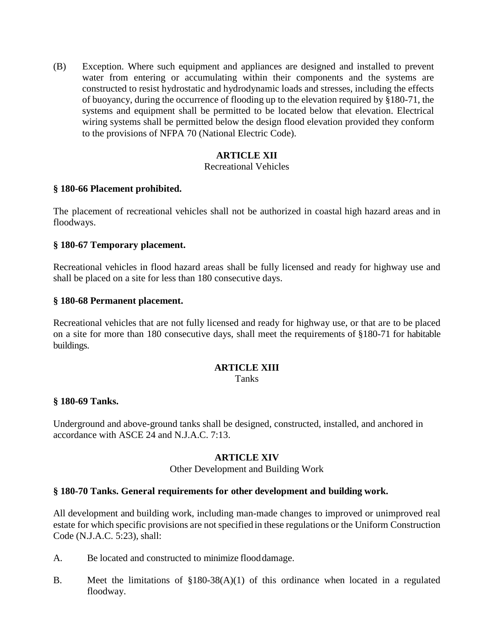(B) Exception. Where such equipment and appliances are designed and installed to prevent water from entering or accumulating within their components and the systems are constructed to resist hydrostatic and hydrodynamic loads and stresses, including the effects of buoyancy, during the occurrence of flooding up to the elevation required by §180-71*,* the systems and equipment shall be permitted to be located below that elevation. Electrical wiring systems shall be permitted below the design flood elevation provided they conform to the provisions of NFPA 70 (National Electric Code).

### **ARTICLE XII**

#### Recreational Vehicles

### **§ 180-66 Placement prohibited.**

The placement of recreational vehicles shall not be authorized in coastal high hazard areas and in floodways.

### **§ 180-67 Temporary placement.**

Recreational vehicles in flood hazard areas shall be fully licensed and ready for highway use and shall be placed on a site for less than 180 consecutive days.

### **§ 180-68 Permanent placement.**

Recreational vehicles that are not fully licensed and ready for highway use, or that are to be placed on a site for more than 180 consecutive days, shall meet the requirements of §180-71 for habitable buildings.

### **ARTICLE XIII**

Tanks

#### **§ 180-69 Tanks.**

Underground and above-ground tanks shall be designed, constructed, installed, and anchored in accordance with ASCE 24 and N.J.A.C. 7:13.

### **ARTICLE XIV**

#### Other Development and Building Work

### **§ 180-70 Tanks. General requirements for other development and building work.**

All development and building work, including man-made changes to improved or unimproved real estate for which specific provisions are not specified in these regulations or the Uniform Construction Code (N.J.A.C. 5:23), shall:

- A. Be located and constructed to minimize flooddamage.
- B. Meet the limitations of §180-38(A)(1) of this ordinance when located in a regulated floodway.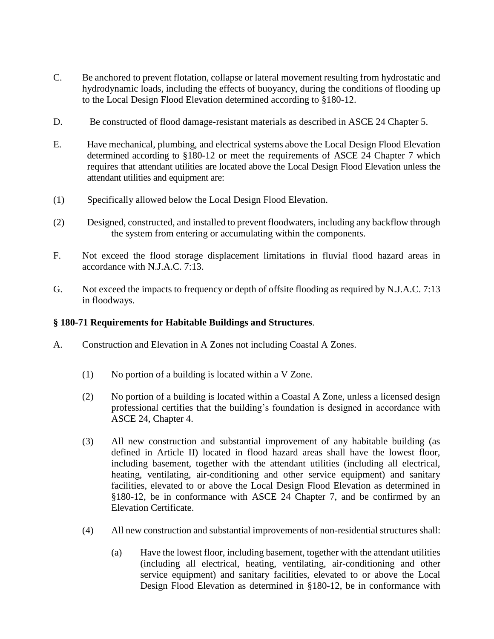- C. Be anchored to prevent flotation, collapse or lateral movement resulting from hydrostatic and hydrodynamic loads, including the effects of buoyancy, during the conditions of flooding up to the Local Design Flood Elevation determined according to §180-12.
- D. Be constructed of flood damage-resistant materials as described in ASCE 24 Chapter 5.
- E. Have mechanical, plumbing, and electrical systems above the Local Design Flood Elevation determined according to §180-12 or meet the requirements of ASCE 24 Chapter 7 which requires that attendant utilities are located above the Local Design Flood Elevation unless the attendant utilities and equipment are:
- (1) Specifically allowed below the Local Design Flood Elevation.
- (2) Designed, constructed, and installed to prevent floodwaters, including any backflow through the system from entering or accumulating within the components.
- F. Not exceed the flood storage displacement limitations in fluvial flood hazard areas in accordance with N.J.A.C. 7:13.
- G. Not exceed the impacts to frequency or depth of offsite flooding as required by N.J.A.C. 7:13 in floodways.

#### **§ 180-71 Requirements for Habitable Buildings and Structures**.

- A. Construction and Elevation in A Zones not including Coastal A Zones.
	- (1) No portion of a building is located within a V Zone.
	- (2) No portion of a building is located within a Coastal A Zone, unless a licensed design professional certifies that the building's foundation is designed in accordance with ASCE 24, Chapter 4.
	- (3) All new construction and substantial improvement of any habitable building (as defined in Article II) located in flood hazard areas shall have the lowest floor, including basement, together with the attendant utilities (including all electrical, heating, ventilating, air-conditioning and other service equipment) and sanitary facilities, elevated to or above the Local Design Flood Elevation as determined in §180-12, be in conformance with ASCE 24 Chapter 7, and be confirmed by an Elevation Certificate.
	- (4) All new construction and substantial improvements of non-residential structures shall:
		- (a) Have the lowest floor, including basement, together with the attendant utilities (including all electrical, heating, ventilating, air-conditioning and other service equipment) and sanitary facilities, elevated to or above the Local Design Flood Elevation as determined in §180-12, be in conformance with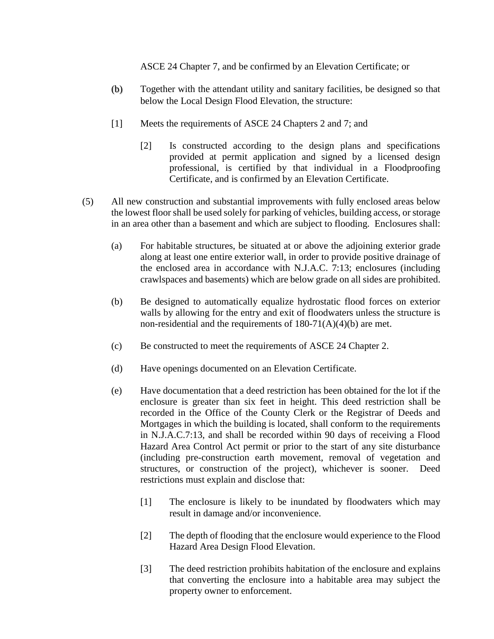ASCE 24 Chapter 7, and be confirmed by an Elevation Certificate; or

- (b) Together with the attendant utility and sanitary facilities, be designed so that below the Local Design Flood Elevation, the structure:
- [1] Meets the requirements of ASCE 24 Chapters 2 and 7; and
	- [2] Is constructed according to the design plans and specifications provided at permit application and signed by a licensed design professional, is certified by that individual in a Floodproofing Certificate, and is confirmed by an Elevation Certificate.
- (5) All new construction and substantial improvements with fully enclosed areas below the lowest floor shall be used solely for parking of vehicles, building access, or storage in an area other than a basement and which are subject to flooding. Enclosures shall:
	- (a) For habitable structures, be situated at or above the adjoining exterior grade along at least one entire exterior wall, in order to provide positive drainage of the enclosed area in accordance with N.J.A.C. 7:13; enclosures (including crawlspaces and basements) which are below grade on all sides are prohibited.
	- (b) Be designed to automatically equalize hydrostatic flood forces on exterior walls by allowing for the entry and exit of floodwaters unless the structure is non-residential and the requirements of 180-71(A)(4)(b) are met.
	- (c) Be constructed to meet the requirements of ASCE 24 Chapter 2.
	- (d) Have openings documented on an Elevation Certificate.
	- (e) Have documentation that a deed restriction has been obtained for the lot if the enclosure is greater than six feet in height. This deed restriction shall be recorded in the Office of the County Clerk or the Registrar of Deeds and Mortgages in which the building is located, shall conform to the requirements in N.J.A.C.7:13, and shall be recorded within 90 days of receiving a Flood Hazard Area Control Act permit or prior to the start of any site disturbance (including pre-construction earth movement, removal of vegetation and structures, or construction of the project), whichever is sooner. Deed restrictions must explain and disclose that:
		- [1] The enclosure is likely to be inundated by floodwaters which may result in damage and/or inconvenience.
		- [2] The depth of flooding that the enclosure would experience to the Flood Hazard Area Design Flood Elevation.
		- [3] The deed restriction prohibits habitation of the enclosure and explains that converting the enclosure into a habitable area may subject the property owner to enforcement.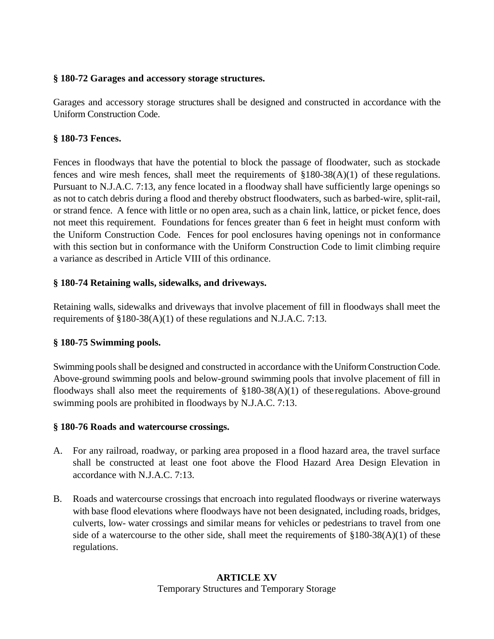### **§ 180-72 Garages and accessory storage structures.**

Garages and accessory storage structures shall be designed and constructed in accordance with the Uniform Construction Code.

### **§ 180-73 Fences.**

Fences in floodways that have the potential to block the passage of floodwater, such as stockade fences and wire mesh fences, shall meet the requirements of §180-38(A)(1) of these regulations. Pursuant to N.J.A.C. 7:13, any fence located in a floodway shall have sufficiently large openings so as not to catch debris during a flood and thereby obstruct floodwaters, such as barbed-wire, split-rail, or strand fence. A fence with little or no open area, such as a chain link, lattice, or picket fence, does not meet this requirement. Foundations for fences greater than 6 feet in height must conform with the Uniform Construction Code. Fences for pool enclosures having openings not in conformance with this section but in conformance with the Uniform Construction Code to limit climbing require a variance as described in Article VIII of this ordinance.

## **§ 180-74 Retaining walls, sidewalks, and driveways.**

Retaining walls, sidewalks and driveways that involve placement of fill in floodways shall meet the requirements of §180-38(A)(1) of these regulations and N.J.A.C. 7:13.

### **§ 180-75 Swimming pools.**

Swimming pools shall be designed and constructed in accordance with the Uniform Construction Code. Above-ground swimming pools and below-ground swimming pools that involve placement of fill in floodways shall also meet the requirements of  $\S180-38(A)(1)$  of these regulations. Above-ground swimming pools are prohibited in floodways by N.J.A.C. 7:13.

### **§ 180-76 Roads and watercourse crossings.**

- A. For any railroad, roadway, or parking area proposed in a flood hazard area, the travel surface shall be constructed at least one foot above the Flood Hazard Area Design Elevation in accordance with N.J.A.C. 7:13.
- B. Roads and watercourse crossings that encroach into regulated floodways or riverine waterways with base flood elevations where floodways have not been designated, including roads, bridges, culverts, low- water crossings and similar means for vehicles or pedestrians to travel from one side of a watercourse to the other side, shall meet the requirements of  $\S180-38(A)(1)$  of these regulations.

### **ARTICLE XV** Temporary Structures and Temporary Storage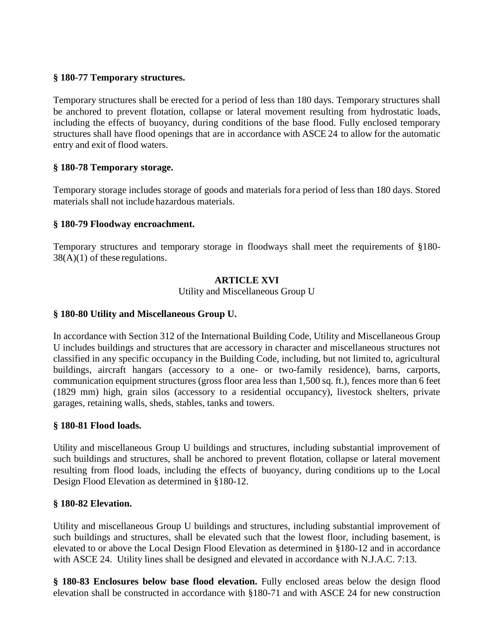### **§ 180-77 Temporary structures.**

Temporary structures shall be erected for a period of less than 180 days. Temporary structures shall be anchored to prevent flotation, collapse or lateral movement resulting from hydrostatic loads, including the effects of buoyancy, during conditions of the base flood. Fully enclosed temporary structures shall have flood openings that are in accordance with ASCE 24 to allow for the automatic entry and exit of flood waters.

### **§ 180-78 Temporary storage.**

Temporary storage includes storage of goods and materials fora period of less than 180 days. Stored materials shall not include hazardous materials.

### **§ 180-79 Floodway encroachment.**

Temporary structures and temporary storage in floodways shall meet the requirements of §180-  $38(A)(1)$  of these regulations.

### **ARTICLE XVI**

Utility and Miscellaneous Group U

### **§ 180-80 Utility and Miscellaneous Group U.**

In accordance with Section 312 of the International Building Code, Utility and Miscellaneous Group U includes buildings and structures that are accessory in character and miscellaneous structures not classified in any specific occupancy in the Building Code, including, but not limited to, agricultural buildings, aircraft hangars (accessory to a one- or two-family residence), barns, carports, communication equipment structures (gross floor area less than 1,500 sq. ft.), fences more than 6 feet (1829 mm) high, grain silos (accessory to a residential occupancy), livestock shelters, private garages, retaining walls, sheds, stables, tanks and towers.

#### **§ 180-81 Flood loads.**

Utility and miscellaneous Group U buildings and structures, including substantial improvement of such buildings and structures, shall be anchored to prevent flotation, collapse or lateral movement resulting from flood loads, including the effects of buoyancy, during conditions up to the Local Design Flood Elevation as determined in §180-12.

#### **§ 180-82 Elevation.**

Utility and miscellaneous Group U buildings and structures, including substantial improvement of such buildings and structures, shall be elevated such that the lowest floor, including basement, is elevated to or above the Local Design Flood Elevation as determined in §180-12 and in accordance with ASCE 24. Utility lines shall be designed and elevated in accordance with N.J.A.C. 7:13.

**§ 180-83 Enclosures below base flood elevation.** Fully enclosed areas below the design flood elevation shall be constructed in accordance with §180-71 and with ASCE 24 for new construction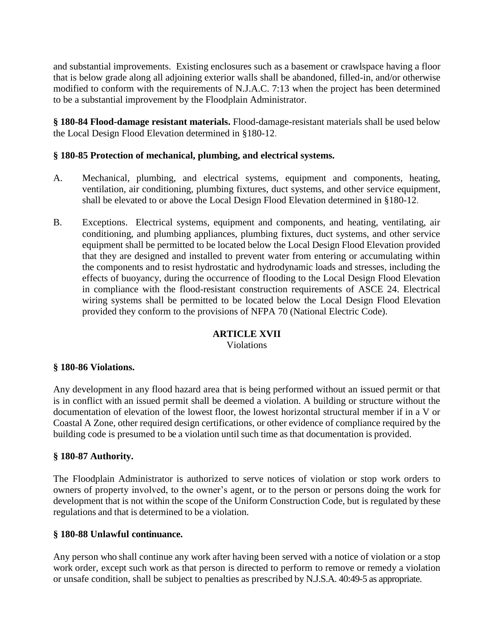and substantial improvements. Existing enclosures such as a basement or crawlspace having a floor that is below grade along all adjoining exterior walls shall be abandoned, filled-in, and/or otherwise modified to conform with the requirements of N.J.A.C. 7:13 when the project has been determined to be a substantial improvement by the Floodplain Administrator.

**§ 180-84 Flood-damage resistant materials.** Flood-damage-resistant materials shall be used below the Local Design Flood Elevation determined in §180-12.

### **§ 180-85 Protection of mechanical, plumbing, and electrical systems.**

- A. Mechanical, plumbing, and electrical systems, equipment and components, heating, ventilation, air conditioning, plumbing fixtures, duct systems, and other service equipment, shall be elevated to or above the Local Design Flood Elevation determined in §180-12.
- B. Exceptions. Electrical systems, equipment and components, and heating, ventilating, air conditioning, and plumbing appliances, plumbing fixtures, duct systems, and other service equipment shall be permitted to be located below the Local Design Flood Elevation provided that they are designed and installed to prevent water from entering or accumulating within the components and to resist hydrostatic and hydrodynamic loads and stresses, including the effects of buoyancy, during the occurrence of flooding to the Local Design Flood Elevation in compliance with the flood-resistant construction requirements of ASCE 24. Electrical wiring systems shall be permitted to be located below the Local Design Flood Elevation provided they conform to the provisions of NFPA 70 (National Electric Code).

#### **ARTICLE XVII** Violations

#### **§ 180-86 Violations.**

Any development in any flood hazard area that is being performed without an issued permit or that is in conflict with an issued permit shall be deemed a violation. A building or structure without the documentation of elevation of the lowest floor, the lowest horizontal structural member if in a V or Coastal A Zone, other required design certifications, or other evidence of compliance required by the building code is presumed to be a violation until such time as that documentation is provided.

#### **§ 180-87 Authority.**

The Floodplain Administrator is authorized to serve notices of violation or stop work orders to owners of property involved, to the owner's agent, or to the person or persons doing the work for development that is not within the scope of the Uniform Construction Code, but is regulated by these regulations and that is determined to be a violation.

#### **§ 180-88 Unlawful continuance.**

Any person who shall continue any work after having been served with a notice of violation or a stop work order, except such work as that person is directed to perform to remove or remedy a violation or unsafe condition, shall be subject to penalties as prescribed by N.J.S.A. 40:49-5 as appropriate.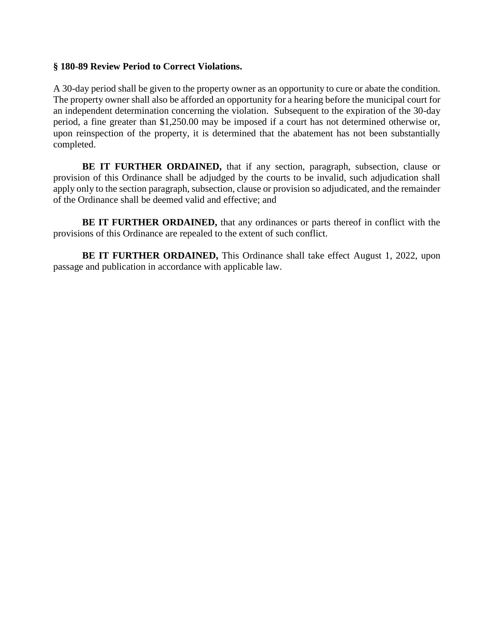#### **§ 180-89 Review Period to Correct Violations.**

A 30-day period shall be given to the property owner as an opportunity to cure or abate the condition. The property owner shall also be afforded an opportunity for a hearing before the municipal court for an independent determination concerning the violation. Subsequent to the expiration of the 30-day period, a fine greater than \$1,250.00 may be imposed if a court has not determined otherwise or, upon reinspection of the property, it is determined that the abatement has not been substantially completed.

**BE IT FURTHER ORDAINED,** that if any section, paragraph, subsection, clause or provision of this Ordinance shall be adjudged by the courts to be invalid, such adjudication shall apply only to the section paragraph, subsection, clause or provision so adjudicated, and the remainder of the Ordinance shall be deemed valid and effective; and

**BE IT FURTHER ORDAINED,** that any ordinances or parts thereof in conflict with the provisions of this Ordinance are repealed to the extent of such conflict.

**BE IT FURTHER ORDAINED,** This Ordinance shall take effect August 1, 2022, upon passage and publication in accordance with applicable law.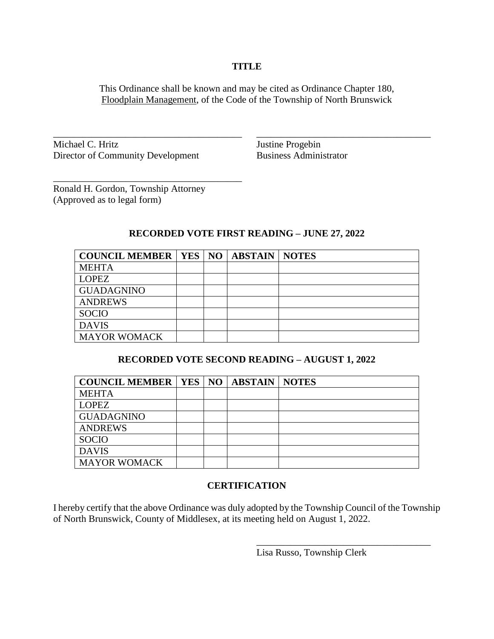#### **TITLE**

This Ordinance shall be known and may be cited as Ordinance Chapter 180, Floodplain Management, of the Code of the Township of North Brunswick

\_\_\_\_\_\_\_\_\_\_\_\_\_\_\_\_\_\_\_\_\_\_\_\_\_\_\_\_\_\_\_\_\_\_\_\_\_\_\_ \_\_\_\_\_\_\_\_\_\_\_\_\_\_\_\_\_\_\_\_\_\_\_\_\_\_\_\_\_\_\_\_\_\_\_\_

Michael C. Hritz Justine Progebin Director of Community Development Business Administrator

Ronald H. Gordon, Township Attorney (Approved as to legal form)

\_\_\_\_\_\_\_\_\_\_\_\_\_\_\_\_\_\_\_\_\_\_\_\_\_\_\_\_\_\_\_\_\_\_\_\_\_\_\_

### **RECORDED VOTE FIRST READING – JUNE 27, 2022**

| <b>COUNCIL MEMBER   YES   NO   ABSTAIN   NOTES</b> |  |  |
|----------------------------------------------------|--|--|
| <b>MEHTA</b>                                       |  |  |
| <b>LOPEZ</b>                                       |  |  |
| <b>GUADAGNINO</b>                                  |  |  |
| <b>ANDREWS</b>                                     |  |  |
| <b>SOCIO</b>                                       |  |  |
| <b>DAVIS</b>                                       |  |  |
| <b>MAYOR WOMACK</b>                                |  |  |

#### **RECORDED VOTE SECOND READING – AUGUST 1, 2022**

| <b>COUNCIL MEMBER   YES   NO   ABSTAIN   NOTES</b> |  |  |
|----------------------------------------------------|--|--|
| <b>MEHTA</b>                                       |  |  |
| <b>LOPEZ</b>                                       |  |  |
| <b>GUADAGNINO</b>                                  |  |  |
| <b>ANDREWS</b>                                     |  |  |
| <b>SOCIO</b>                                       |  |  |
| <b>DAVIS</b>                                       |  |  |
| <b>MAYOR WOMACK</b>                                |  |  |

### **CERTIFICATION**

I hereby certify that the above Ordinance was duly adopted by the Township Council of the Township of North Brunswick, County of Middlesex, at its meeting held on August 1, 2022.

Lisa Russo, Township Clerk

\_\_\_\_\_\_\_\_\_\_\_\_\_\_\_\_\_\_\_\_\_\_\_\_\_\_\_\_\_\_\_\_\_\_\_\_